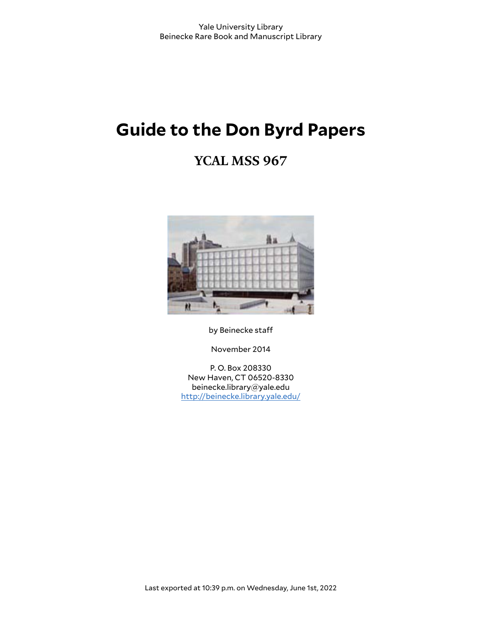# **Guide to the Don Byrd Papers**

# **YCAL MSS 967**



by Beinecke staff

November 2014

P. O. Box 208330 New Haven, CT 06520-8330 beinecke.library@yale.edu <http://beinecke.library.yale.edu/>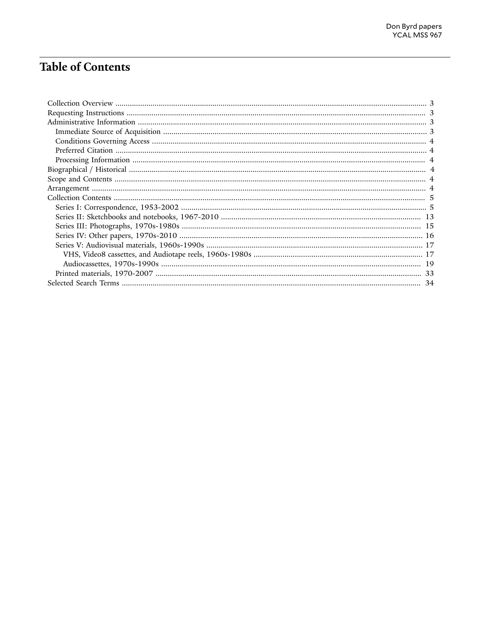# **Table of Contents**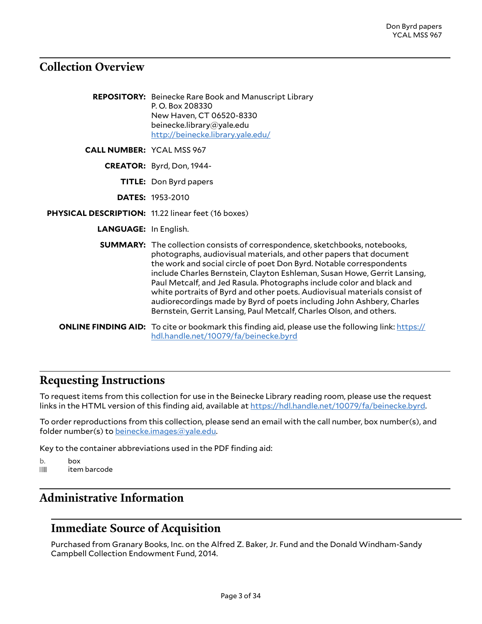# <span id="page-2-0"></span>**Collection Overview**

|                                                    | <b>REPOSITORY:</b> Beinecke Rare Book and Manuscript Library<br>P.O. Box 208330<br>New Haven, CT 06520-8330<br>beinecke.library@yale.edu<br>http://beinecke.library.yale.edu/                                                                                                                                                                                                                                                                                                                                                                                                                                     |
|----------------------------------------------------|-------------------------------------------------------------------------------------------------------------------------------------------------------------------------------------------------------------------------------------------------------------------------------------------------------------------------------------------------------------------------------------------------------------------------------------------------------------------------------------------------------------------------------------------------------------------------------------------------------------------|
| <b>CALL NUMBER: YCAL MSS 967</b>                   |                                                                                                                                                                                                                                                                                                                                                                                                                                                                                                                                                                                                                   |
|                                                    | <b>CREATOR:</b> Byrd, Don, 1944-                                                                                                                                                                                                                                                                                                                                                                                                                                                                                                                                                                                  |
|                                                    | <b>TITLE:</b> Don Byrd papers                                                                                                                                                                                                                                                                                                                                                                                                                                                                                                                                                                                     |
|                                                    | <b>DATES: 1953-2010</b>                                                                                                                                                                                                                                                                                                                                                                                                                                                                                                                                                                                           |
| PHYSICAL DESCRIPTION: 11.22 linear feet (16 boxes) |                                                                                                                                                                                                                                                                                                                                                                                                                                                                                                                                                                                                                   |
| <b>LANGUAGE: In English.</b>                       |                                                                                                                                                                                                                                                                                                                                                                                                                                                                                                                                                                                                                   |
|                                                    | <b>SUMMARY:</b> The collection consists of correspondence, sketchbooks, notebooks,<br>photographs, audiovisual materials, and other papers that document<br>the work and social circle of poet Don Byrd. Notable correspondents<br>include Charles Bernstein, Clayton Eshleman, Susan Howe, Gerrit Lansing,<br>Paul Metcalf, and Jed Rasula. Photographs include color and black and<br>white portraits of Byrd and other poets. Audiovisual materials consist of<br>audiorecordings made by Byrd of poets including John Ashbery, Charles<br>Bernstein, Gerrit Lansing, Paul Metcalf, Charles Olson, and others. |
|                                                    | <b>ONLINE FINDING AID:</b> To cite or bookmark this finding aid, please use the following link: https://<br>hdl.handle.net/10079/fa/beinecke.byrd                                                                                                                                                                                                                                                                                                                                                                                                                                                                 |

## <span id="page-2-1"></span>**Requesting Instructions**

To request items from this collection for use in the Beinecke Library reading room, please use the request links in the HTML version of this finding aid, available at <https://hdl.handle.net/10079/fa/beinecke.byrd>.

To order reproductions from this collection, please send an email with the call number, box number(s), and folder number(s) to [beinecke.images@yale.edu.](mailto:beinecke.images@yale.edu)

Key to the container abbreviations used in the PDF finding aid:

b. box **ifferm** barcode

# <span id="page-2-2"></span>**Administrative Information**

### <span id="page-2-3"></span>**Immediate Source of Acquisition**

Purchased from Granary Books, Inc. on the Alfred Z. Baker, Jr. Fund and the Donald Windham-Sandy Campbell Collection Endowment Fund, 2014.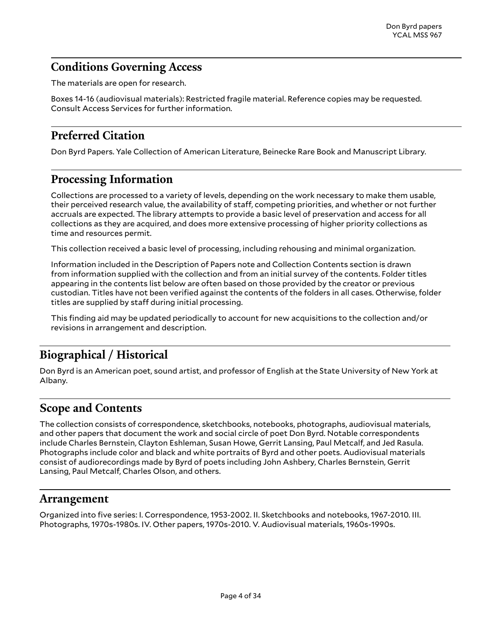# <span id="page-3-0"></span>**Conditions Governing Access**

The materials are open for research.

Boxes 14-16 (audiovisual materials): Restricted fragile material. Reference copies may be requested. Consult Access Services for further information.

# <span id="page-3-1"></span>**Preferred Citation**

Don Byrd Papers. Yale Collection of American Literature, Beinecke Rare Book and Manuscript Library.

# <span id="page-3-2"></span>**Processing Information**

Collections are processed to a variety of levels, depending on the work necessary to make them usable, their perceived research value, the availability of staff, competing priorities, and whether or not further accruals are expected. The library attempts to provide a basic level of preservation and access for all collections as they are acquired, and does more extensive processing of higher priority collections as time and resources permit.

This collection received a basic level of processing, including rehousing and minimal organization.

Information included in the Description of Papers note and Collection Contents section is drawn from information supplied with the collection and from an initial survey of the contents. Folder titles appearing in the contents list below are often based on those provided by the creator or previous custodian. Titles have not been verified against the contents of the folders in all cases. Otherwise, folder titles are supplied by staff during initial processing.

This finding aid may be updated periodically to account for new acquisitions to the collection and/or revisions in arrangement and description.

# <span id="page-3-3"></span>**Biographical / Historical**

Don Byrd is an American poet, sound artist, and professor of English at the State University of New York at Albany.

# <span id="page-3-4"></span>**Scope and Contents**

The collection consists of correspondence, sketchbooks, notebooks, photographs, audiovisual materials, and other papers that document the work and social circle of poet Don Byrd. Notable correspondents include Charles Bernstein, Clayton Eshleman, Susan Howe, Gerrit Lansing, Paul Metcalf, and Jed Rasula. Photographs include color and black and white portraits of Byrd and other poets. Audiovisual materials consist of audiorecordings made by Byrd of poets including John Ashbery, Charles Bernstein, Gerrit Lansing, Paul Metcalf, Charles Olson, and others.

### <span id="page-3-5"></span>**Arrangement**

Organized into five series: I. Correspondence, 1953-2002. II. Sketchbooks and notebooks, 1967-2010. III. Photographs, 1970s-1980s. IV. Other papers, 1970s-2010. V. Audiovisual materials, 1960s-1990s.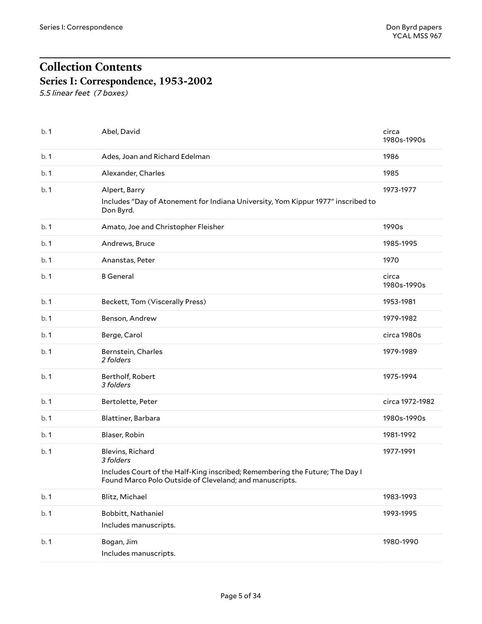# <span id="page-4-0"></span>**Collection Contents Series I: Correspondence, 1953-2002**

<span id="page-4-1"></span>*5.5 linear feet (7 boxes)*

| b.1 | Abel, David                                                                                                    | circa<br>1980s-1990s |
|-----|----------------------------------------------------------------------------------------------------------------|----------------------|
| b.1 | Ades, Joan and Richard Edelman                                                                                 | 1986                 |
| b.1 | Alexander, Charles                                                                                             | 1985                 |
| b.1 | Alpert, Barry<br>Includes "Day of Atonement for Indiana University, Yom Kippur 1977" inscribed to<br>Don Byrd. | 1973-1977            |
| b.1 | Amato, Joe and Christopher Fleisher                                                                            | 1990s                |
| b.1 | Andrews, Bruce                                                                                                 | 1985-1995            |
| b.1 | Ananstas, Peter                                                                                                | 1970                 |
| b.1 | <b>B</b> General                                                                                               | circa<br>1980s-1990s |
| b.1 | Beckett, Tom (Viscerally Press)                                                                                | 1953-1981            |
| b.1 | Benson, Andrew                                                                                                 | 1979-1982            |
| b.1 | Berge, Carol                                                                                                   | circa 1980s          |
| b.1 | Bernstein, Charles<br>2 folders                                                                                | 1979-1989            |
| b.1 | Bertholf, Robert<br>3 folders                                                                                  | 1975-1994            |
| b.1 | Bertolette, Peter                                                                                              | circa 1972-1982      |
| b.1 | Blattiner, Barbara                                                                                             | 1980s-1990s          |
| b.1 | Blaser, Robin                                                                                                  | 1981-1992            |
| b.1 | Blevins, Richard<br>3 folders<br>Includes Court of the Half-King inscribed; Remembering the Future; The Day I  | 1977-1991            |
|     | Found Marco Polo Outside of Cleveland; and manuscripts.                                                        |                      |
| b.1 | Blitz, Michael                                                                                                 | 1983-1993            |
| b.1 | Bobbitt, Nathaniel<br>Includes manuscripts.                                                                    | 1993-1995            |
| b.1 | Bogan, Jim<br>Includes manuscripts.                                                                            | 1980-1990            |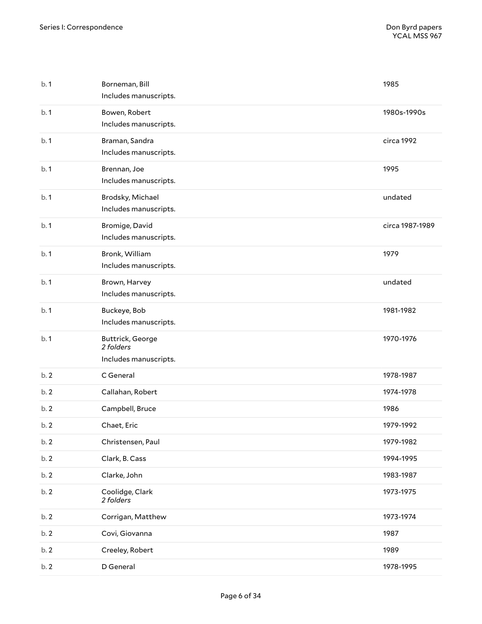| b.1 | Borneman, Bill<br>Includes manuscripts.                | 1985            |
|-----|--------------------------------------------------------|-----------------|
| b.1 | Bowen, Robert<br>Includes manuscripts.                 | 1980s-1990s     |
| b.1 | Braman, Sandra<br>Includes manuscripts.                | circa 1992      |
| b.1 | Brennan, Joe<br>Includes manuscripts.                  | 1995            |
| b.1 | Brodsky, Michael<br>Includes manuscripts.              | undated         |
| b.1 | Bromige, David<br>Includes manuscripts.                | circa 1987-1989 |
| b.1 | Bronk, William<br>Includes manuscripts.                | 1979            |
| b.1 | Brown, Harvey<br>Includes manuscripts.                 | undated         |
| b.1 | Buckeye, Bob<br>Includes manuscripts.                  | 1981-1982       |
| b.1 | Buttrick, George<br>2 folders<br>Includes manuscripts. | 1970-1976       |
| b.2 | C General                                              | 1978-1987       |
| b.2 | Callahan, Robert                                       | 1974-1978       |
| b.2 | Campbell, Bruce                                        | 1986            |
| b.2 | Chaet, Eric                                            | 1979-1992       |
| b.2 | Christensen, Paul                                      | 1979-1982       |
| b.2 | Clark, B. Cass                                         | 1994-1995       |
| b.2 | Clarke, John                                           | 1983-1987       |
| b.2 | Coolidge, Clark<br>2 folders                           | 1973-1975       |
| b.2 | Corrigan, Matthew                                      | 1973-1974       |
| b.2 | Covi, Giovanna                                         | 1987            |
| b.2 | Creeley, Robert                                        | 1989            |
| b.2 | D General                                              | 1978-1995       |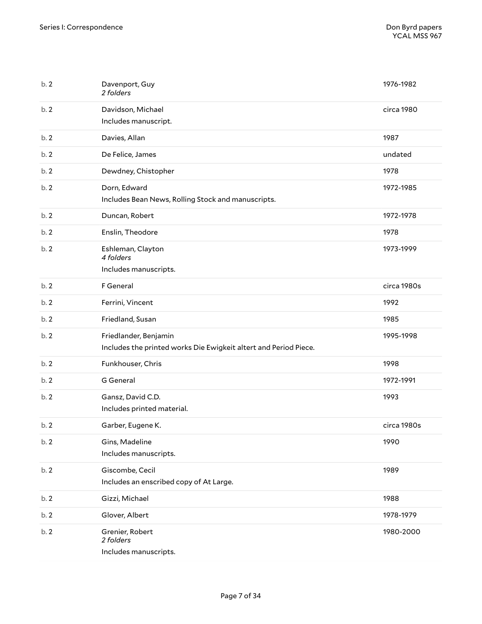| b.2 | Davenport, Guy<br>2 folders                                                               | 1976-1982   |
|-----|-------------------------------------------------------------------------------------------|-------------|
| b.2 | Davidson, Michael<br>Includes manuscript.                                                 | circa 1980  |
| b.2 | Davies, Allan                                                                             | 1987        |
| b.2 | De Felice, James                                                                          | undated     |
| b.2 | Dewdney, Chistopher                                                                       | 1978        |
| b.2 | Dorn, Edward<br>Includes Bean News, Rolling Stock and manuscripts.                        | 1972-1985   |
| b.2 | Duncan, Robert                                                                            | 1972-1978   |
| b.2 | Enslin, Theodore                                                                          | 1978        |
| b.2 | Eshleman, Clayton<br>4 folders                                                            | 1973-1999   |
|     | Includes manuscripts.                                                                     |             |
| b.2 | F General                                                                                 | circa 1980s |
| b.2 | Ferrini, Vincent                                                                          | 1992        |
| b.2 | Friedland, Susan                                                                          | 1985        |
| b.2 | Friedlander, Benjamin<br>Includes the printed works Die Ewigkeit altert and Period Piece. | 1995-1998   |
| b.2 | Funkhouser, Chris                                                                         | 1998        |
| b.2 | G General                                                                                 | 1972-1991   |
| b.2 | Gansz, David C.D.<br>Includes printed material.                                           | 1993        |
| b.2 | Garber, Eugene K.                                                                         | circa 1980s |
| b.2 | Gins, Madeline<br>Includes manuscripts.                                                   | 1990        |
| b.2 | Giscombe, Cecil<br>Includes an enscribed copy of At Large.                                | 1989        |
| b.2 | Gizzi, Michael                                                                            | 1988        |
| b.2 | Glover, Albert                                                                            | 1978-1979   |
| b.2 | Grenier, Robert<br>2 folders<br>Includes manuscripts.                                     | 1980-2000   |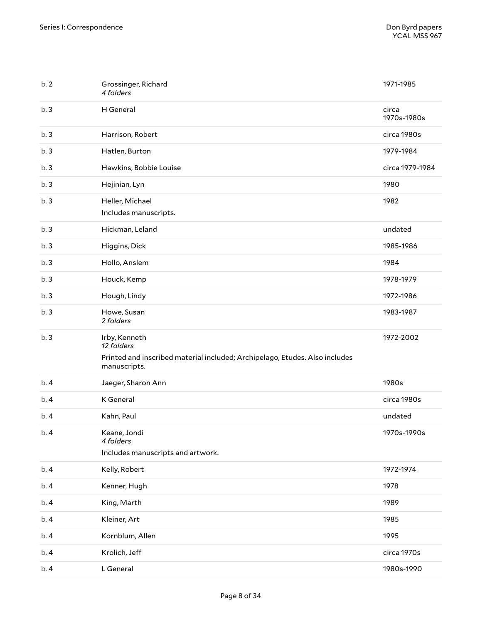| b.2 | Grossinger, Richard<br>4 folders                                                                                           | 1971-1985            |
|-----|----------------------------------------------------------------------------------------------------------------------------|----------------------|
| b.3 | H General                                                                                                                  | circa<br>1970s-1980s |
| b.3 | Harrison, Robert                                                                                                           | circa 1980s          |
| b.3 | Hatlen, Burton                                                                                                             | 1979-1984            |
| b.3 | Hawkins, Bobbie Louise                                                                                                     | circa 1979-1984      |
| b.3 | Hejinian, Lyn                                                                                                              | 1980                 |
| b.3 | Heller, Michael<br>Includes manuscripts.                                                                                   | 1982                 |
| b.3 | Hickman, Leland                                                                                                            | undated              |
| b.3 | Higgins, Dick                                                                                                              | 1985-1986            |
| b.3 | Hollo, Anslem                                                                                                              | 1984                 |
| b.3 | Houck, Kemp                                                                                                                | 1978-1979            |
| b.3 | Hough, Lindy                                                                                                               | 1972-1986            |
| b.3 | Howe, Susan<br>2 folders                                                                                                   | 1983-1987            |
| b.3 | Irby, Kenneth<br>12 folders<br>Printed and inscribed material included; Archipelago, Etudes. Also includes<br>manuscripts. | 1972-2002            |
| b.4 | Jaeger, Sharon Ann                                                                                                         | 1980s                |
| b.4 | K General                                                                                                                  | circa 1980s          |
| b.4 | Kahn, Paul                                                                                                                 | undated              |
| b.4 | Keane, Jondi<br>4 folders<br>Includes manuscripts and artwork.                                                             | 1970s-1990s          |
| b.4 | Kelly, Robert                                                                                                              | 1972-1974            |
| b.4 | Kenner, Hugh                                                                                                               | 1978                 |
| b.4 | King, Marth                                                                                                                | 1989                 |
| b.4 | Kleiner, Art                                                                                                               | 1985                 |
| b.4 | Kornblum, Allen                                                                                                            | 1995                 |
| b.4 |                                                                                                                            |                      |
|     | Krolich, Jeff                                                                                                              | circa 1970s          |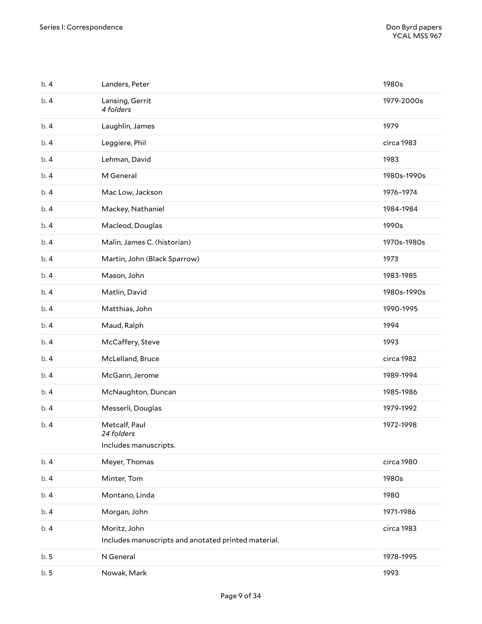| b.4 | Landers, Peter                                                      | 1980s       |
|-----|---------------------------------------------------------------------|-------------|
| b.4 | Lansing, Gerrit<br>4 folders                                        | 1979-2000s  |
| b.4 | Laughlin, James                                                     | 1979        |
| b.4 | Leggiere, Phil                                                      | circa 1983  |
| b.4 | Lehman, David                                                       | 1983        |
| b.4 | M General                                                           | 1980s-1990s |
| b.4 | Mac Low, Jackson                                                    | 1976-1974   |
| b.4 | Mackey, Nathaniel                                                   | 1984-1984   |
| b.4 | Macleod, Douglas                                                    | 1990s       |
| b.4 | Malin, James C. (historian)                                         | 1970s-1980s |
| b.4 | Martin, John (Black Sparrow)                                        | 1973        |
| b.4 | Mason, John                                                         | 1983-1985   |
| b.4 | Matlin, David                                                       | 1980s-1990s |
| b.4 | Matthias, John                                                      | 1990-1995   |
| b.4 | Maud, Ralph                                                         | 1994        |
| b.4 | McCaffery, Steve                                                    | 1993        |
| b.4 | McLelland, Bruce                                                    | circa 1982  |
| b.4 | McGann, Jerome                                                      | 1989-1994   |
| b.4 | McNaughton, Duncan                                                  | 1985-1986   |
| b.4 | Messerli, Douglas                                                   | 1979-1992   |
| b.4 | Metcalf, Paul<br>24 folders                                         | 1972-1998   |
|     | Includes manuscripts.                                               |             |
| b.4 | Meyer, Thomas                                                       | circa 1980  |
| b.4 | Minter, Tom                                                         | 1980s       |
| b.4 | Montano, Linda                                                      | 1980        |
| b.4 | Morgan, John                                                        | 1971-1986   |
| b.4 | Moritz, John<br>Includes manuscripts and anotated printed material. | circa 1983  |
| b.5 | N General                                                           | 1978-1995   |
| b.5 | Nowak, Mark                                                         | 1993        |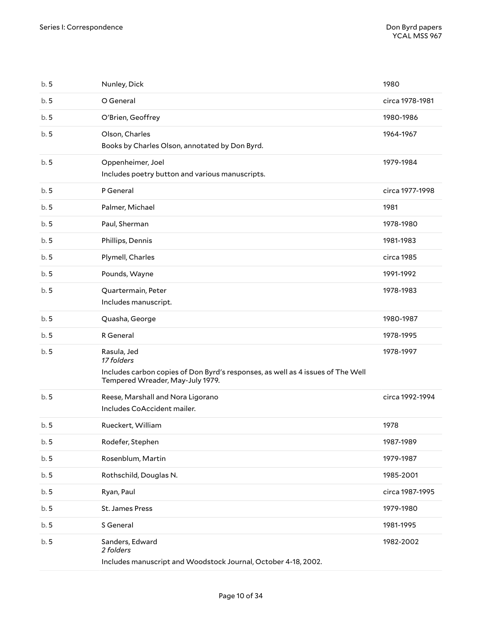| b.5 | Nunley, Dick                                                                                                                                     | 1980            |
|-----|--------------------------------------------------------------------------------------------------------------------------------------------------|-----------------|
| b.5 | O General                                                                                                                                        | circa 1978-1981 |
| b.5 | O'Brien, Geoffrey                                                                                                                                | 1980-1986       |
| b.5 | Olson, Charles<br>Books by Charles Olson, annotated by Don Byrd.                                                                                 | 1964-1967       |
| b.5 | Oppenheimer, Joel<br>Includes poetry button and various manuscripts.                                                                             | 1979-1984       |
| b.5 | P General                                                                                                                                        | circa 1977-1998 |
| b.5 | Palmer, Michael                                                                                                                                  | 1981            |
| b.5 | Paul, Sherman                                                                                                                                    | 1978-1980       |
| b.5 | Phillips, Dennis                                                                                                                                 | 1981-1983       |
| b.5 | Plymell, Charles                                                                                                                                 | circa 1985      |
| b.5 | Pounds, Wayne                                                                                                                                    | 1991-1992       |
| b.5 | Quartermain, Peter<br>Includes manuscript.                                                                                                       | 1978-1983       |
| b.5 | Quasha, George                                                                                                                                   | 1980-1987       |
| b.5 | R General                                                                                                                                        | 1978-1995       |
| b.5 | Rasula, Jed<br>17 folders<br>Includes carbon copies of Don Byrd's responses, as well as 4 issues of The Well<br>Tempered Wreader, May-July 1979. | 1978-1997       |
| b.5 | Reese, Marshall and Nora Ligorano<br>Includes CoAccident mailer.                                                                                 | circa 1992-1994 |
| b.5 | Rueckert, William                                                                                                                                | 1978            |
| b.5 | Rodefer, Stephen                                                                                                                                 | 1987-1989       |
| b.5 | Rosenblum, Martin                                                                                                                                | 1979-1987       |
| b.5 | Rothschild, Douglas N.                                                                                                                           | 1985-2001       |
| b.5 | Ryan, Paul                                                                                                                                       | circa 1987-1995 |
| b.5 | St. James Press                                                                                                                                  | 1979-1980       |
| b.5 | S General                                                                                                                                        | 1981-1995       |
| b.5 | Sanders, Edward<br>2 folders<br>Includes manuscript and Woodstock Journal, October 4-18, 2002.                                                   | 1982-2002       |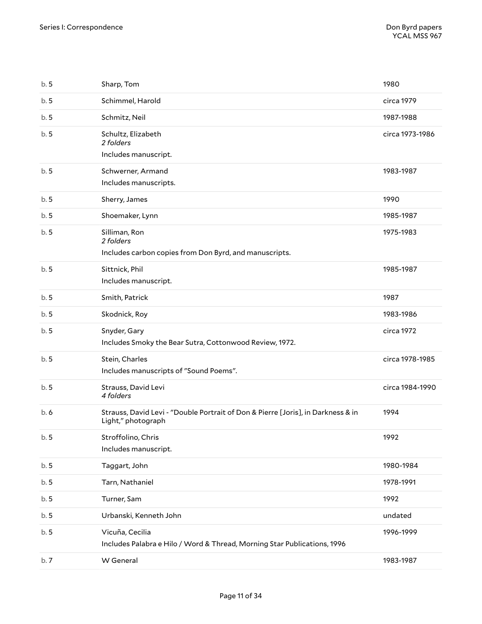| b.5 | Sharp, Tom                                                                                             | 1980            |
|-----|--------------------------------------------------------------------------------------------------------|-----------------|
| b.5 | Schimmel, Harold                                                                                       | circa 1979      |
| b.5 | Schmitz, Neil                                                                                          | 1987-1988       |
| b.5 | Schultz, Elizabeth<br>2 folders<br>Includes manuscript.                                                | circa 1973-1986 |
| b.5 | Schwerner, Armand<br>Includes manuscripts.                                                             | 1983-1987       |
| b.5 | Sherry, James                                                                                          | 1990            |
| b.5 | Shoemaker, Lynn                                                                                        | 1985-1987       |
| b.5 | Silliman, Ron<br>2 folders<br>Includes carbon copies from Don Byrd, and manuscripts.                   | 1975-1983       |
| b.5 | Sittnick, Phil<br>Includes manuscript.                                                                 | 1985-1987       |
| b.5 | Smith, Patrick                                                                                         | 1987            |
| b.5 | Skodnick, Roy                                                                                          | 1983-1986       |
| b.5 | Snyder, Gary<br>Includes Smoky the Bear Sutra, Cottonwood Review, 1972.                                | circa 1972      |
| b.5 | Stein, Charles<br>Includes manuscripts of "Sound Poems".                                               | circa 1978-1985 |
| b.5 | Strauss, David Levi<br>4 folders                                                                       | circa 1984-1990 |
| b.6 | Strauss, David Levi - "Double Portrait of Don & Pierre [Joris], in Darkness & in<br>Light," photograph | 1994            |
| b.5 | Stroffolino, Chris<br>Includes manuscript.                                                             | 1992            |
| b.5 | Taggart, John                                                                                          | 1980-1984       |
| b.5 | Tarn, Nathaniel                                                                                        | 1978-1991       |
| b.5 | Turner, Sam                                                                                            | 1992            |
| b.5 | Urbanski, Kenneth John                                                                                 | undated         |
| b.5 | Vicuña, Cecilia<br>Includes Palabra e Hilo / Word & Thread, Morning Star Publications, 1996            | 1996-1999       |
| b.7 | W General                                                                                              | 1983-1987       |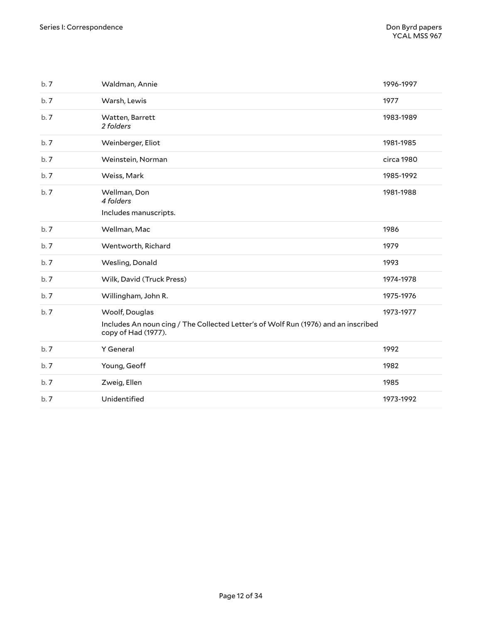| b.7 | Waldman, Annie                                                                                                              | 1996-1997  |
|-----|-----------------------------------------------------------------------------------------------------------------------------|------------|
| b.7 | Warsh, Lewis                                                                                                                | 1977       |
| b.7 | Watten, Barrett<br>2 folders                                                                                                | 1983-1989  |
| b.7 | Weinberger, Eliot                                                                                                           | 1981-1985  |
| b.7 | Weinstein, Norman                                                                                                           | circa 1980 |
| b.7 | Weiss, Mark                                                                                                                 | 1985-1992  |
| b.7 | Wellman, Don<br>4 folders                                                                                                   | 1981-1988  |
|     | Includes manuscripts.                                                                                                       |            |
| b.7 | Wellman, Mac                                                                                                                | 1986       |
| b.7 | Wentworth, Richard                                                                                                          | 1979       |
| b.7 | Wesling, Donald                                                                                                             | 1993       |
| b.7 | Wilk, David (Truck Press)                                                                                                   | 1974-1978  |
| b.7 | Willingham, John R.                                                                                                         | 1975-1976  |
| b.7 | Woolf, Douglas<br>Includes An noun cing / The Collected Letter's of Wolf Run (1976) and an inscribed<br>copy of Had (1977). | 1973-1977  |
| b.7 | Y General                                                                                                                   | 1992       |
| b.7 | Young, Geoff                                                                                                                | 1982       |
| b.7 | Zweig, Ellen                                                                                                                | 1985       |
| b.7 | Unidentified                                                                                                                | 1973-1992  |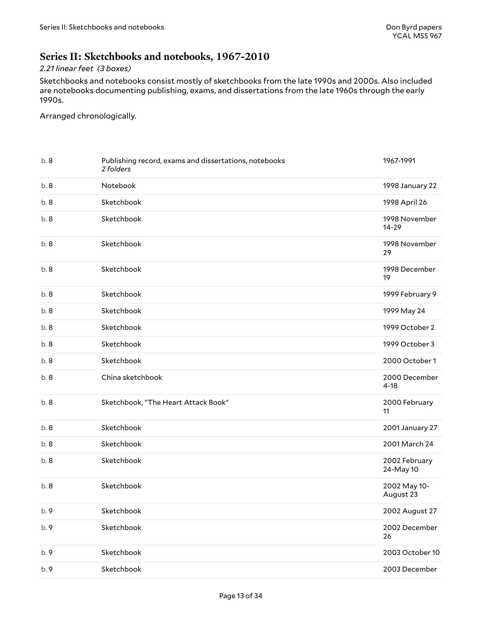### <span id="page-12-0"></span>**Series II: Sketchbooks and notebooks, 1967-2010**

#### *2.21 linear feet (3 boxes)*

Sketchbooks and notebooks consist mostly of sketchbooks from the late 1990s and 2000s. Also included are notebooks documenting publishing, exams, and dissertations from the late 1960s through the early 1990s.

Arranged chronologically.

| b. 8 | Publishing record, exams and dissertations, notebooks<br>2 folders | 1967-1991                  |
|------|--------------------------------------------------------------------|----------------------------|
| b.8  | Notebook                                                           | 1998 January 22            |
| b.8  | Sketchbook                                                         | 1998 April 26              |
| b.8  | Sketchbook                                                         | 1998 November<br>$14 - 29$ |
| b.8  | Sketchbook                                                         | 1998 November<br>29        |
| b.8  | Sketchbook                                                         | 1998 December<br>19        |
| b.8  | Sketchbook                                                         | 1999 February 9            |
| b. 8 | Sketchbook                                                         | 1999 May 24                |
| b. 8 | Sketchbook                                                         | 1999 October 2             |
| b.8  | Sketchbook                                                         | 1999 October 3             |
| b.8  | Sketchbook                                                         | 2000 October 1             |
| b.8  | China sketchbook                                                   | 2000 December<br>$4 - 18$  |
| b.8  | Sketchbook, "The Heart Attack Book"                                | 2000 February<br>11        |
| b.8  | Sketchbook                                                         | 2001 January 27            |
| b.8  | Sketchbook                                                         | 2001 March 24              |
| b.8  | Sketchbook                                                         | 2002 February<br>24-May 10 |
| b.8  | Sketchbook                                                         | 2002 May 10-<br>August 23  |
| b. 9 | Sketchbook                                                         | 2002 August 27             |
| b. 9 | Sketchbook                                                         | 2002 December<br>26        |
| b.9  | Sketchbook                                                         | 2003 October 10            |
| b.9  | Sketchbook                                                         | 2003 December              |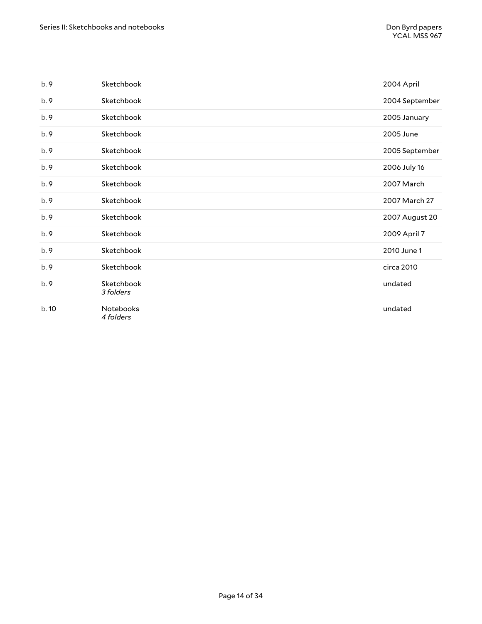| b.9   | Sketchbook              | 2004 April     |
|-------|-------------------------|----------------|
| b.9   | Sketchbook              | 2004 September |
| b.9   | Sketchbook              | 2005 January   |
| b.9   | Sketchbook              | 2005 June      |
| b.9   | Sketchbook              | 2005 September |
| b. 9  | Sketchbook              | 2006 July 16   |
| b.9   | Sketchbook              | 2007 March     |
| b. 9  | Sketchbook              | 2007 March 27  |
| b. 9  | Sketchbook              | 2007 August 20 |
| b.9   | Sketchbook              | 2009 April 7   |
| b.9   | Sketchbook              | 2010 June 1    |
| b.9   | Sketchbook              | circa 2010     |
| b. 9  | Sketchbook<br>3 folders | undated        |
| b. 10 | Notebooks<br>4 folders  | undated        |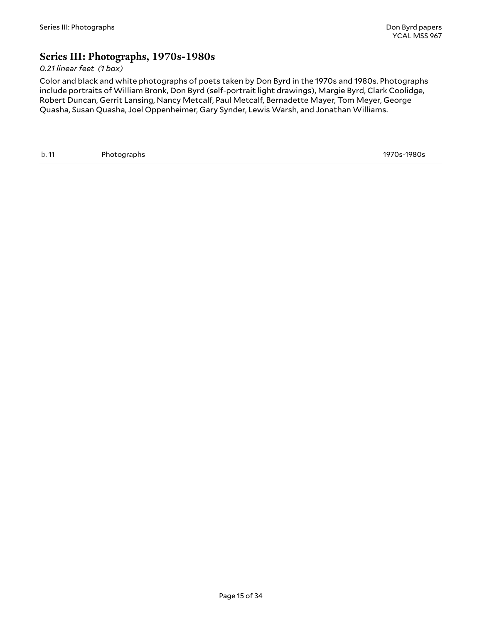### <span id="page-14-0"></span>**Series III: Photographs, 1970s-1980s**

#### *0.21 linear feet (1 box)*

Color and black and white photographs of poets taken by Don Byrd in the 1970s and 1980s. Photographs include portraits of William Bronk, Don Byrd (self-portrait light drawings), Margie Byrd, Clark Coolidge, Robert Duncan, Gerrit Lansing, Nancy Metcalf, Paul Metcalf, Bernadette Mayer, Tom Meyer, George Quasha, Susan Quasha, Joel Oppenheimer, Gary Synder, Lewis Warsh, and Jonathan Williams.

b. 11 Photographs 1970s-1980s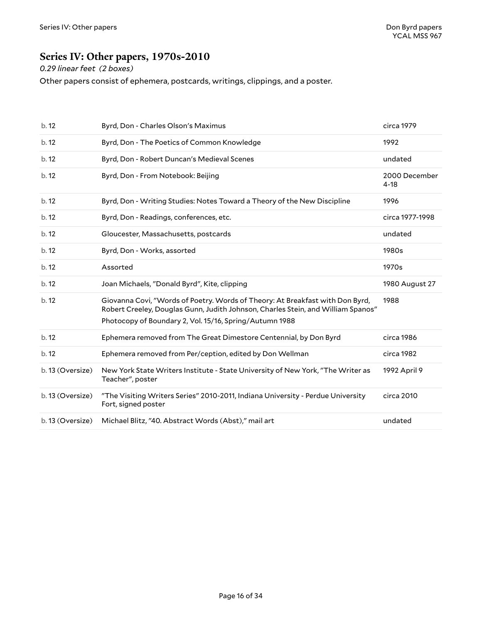## <span id="page-15-0"></span>**Series IV: Other papers, 1970s-2010**

*0.29 linear feet (2 boxes)*

Other papers consist of ephemera, postcards, writings, clippings, and a poster.

| b.12             | Byrd, Don - Charles Olson's Maximus                                                                                                                                                                                          | circa 1979                |
|------------------|------------------------------------------------------------------------------------------------------------------------------------------------------------------------------------------------------------------------------|---------------------------|
| b.12             | Byrd, Don - The Poetics of Common Knowledge                                                                                                                                                                                  | 1992                      |
| b.12             | Byrd, Don - Robert Duncan's Medieval Scenes                                                                                                                                                                                  | undated                   |
| b.12             | Byrd, Don - From Notebook: Beijing                                                                                                                                                                                           | 2000 December<br>$4 - 18$ |
| b.12             | Byrd, Don - Writing Studies: Notes Toward a Theory of the New Discipline                                                                                                                                                     | 1996                      |
| b.12             | Byrd, Don - Readings, conferences, etc.                                                                                                                                                                                      | circa 1977-1998           |
| b.12             | Gloucester, Massachusetts, postcards                                                                                                                                                                                         | undated                   |
| b.12             | Byrd, Don - Works, assorted                                                                                                                                                                                                  | 1980s                     |
| b.12             | Assorted                                                                                                                                                                                                                     | 1970s                     |
| b.12             | Joan Michaels, "Donald Byrd", Kite, clipping                                                                                                                                                                                 | 1980 August 27            |
| b.12             | Giovanna Covi, "Words of Poetry. Words of Theory: At Breakfast with Don Byrd,<br>Robert Creeley, Douglas Gunn, Judith Johnson, Charles Stein, and William Spanos"<br>Photocopy of Boundary 2, Vol. 15/16, Spring/Autumn 1988 | 1988                      |
| b.12             | Ephemera removed from The Great Dimestore Centennial, by Don Byrd                                                                                                                                                            | circa 1986                |
| b.12             | Ephemera removed from Per/ception, edited by Don Wellman                                                                                                                                                                     | circa 1982                |
| b. 13 (Oversize) | New York State Writers Institute - State University of New York, "The Writer as<br>Teacher", poster                                                                                                                          | 1992 April 9              |
| b. 13 (Oversize) | "The Visiting Writers Series" 2010-2011, Indiana University - Perdue University<br>Fort, signed poster                                                                                                                       | circa 2010                |
| b. 13 (Oversize) | Michael Blitz, "40. Abstract Words (Abst)," mail art                                                                                                                                                                         | undated                   |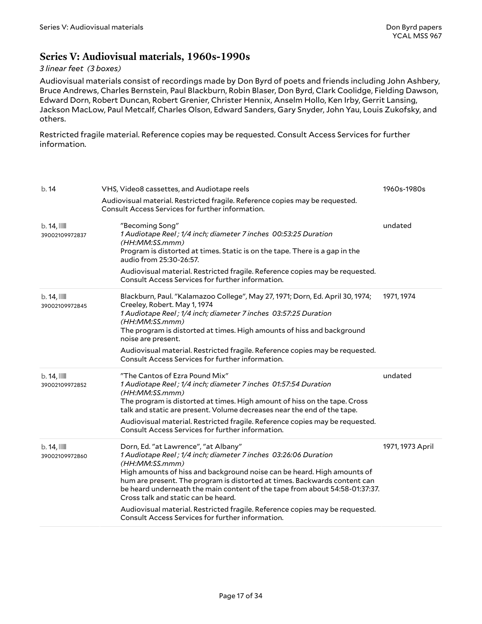### <span id="page-16-0"></span>**Series V: Audiovisual materials, 1960s-1990s**

#### *3 linear feet (3 boxes)*

Audiovisual materials consist of recordings made by Don Byrd of poets and friends including John Ashbery, Bruce Andrews, Charles Bernstein, Paul Blackburn, Robin Blaser, Don Byrd, Clark Coolidge, Fielding Dawson, Edward Dorn, Robert Duncan, Robert Grenier, Christer Hennix, Anselm Hollo, Ken Irby, Gerrit Lansing, Jackson MacLow, Paul Metcalf, Charles Olson, Edward Sanders, Gary Snyder, John Yau, Louis Zukofsky, and others.

Restricted fragile material. Reference copies may be requested. Consult Access Services for further information.

<span id="page-16-1"></span>

| b.14                                      | VHS, Video8 cassettes, and Audiotape reels                                                                                                                                                                                                                                                                                                                                                                                                                                                                                                  | 1960s-1980s      |
|-------------------------------------------|---------------------------------------------------------------------------------------------------------------------------------------------------------------------------------------------------------------------------------------------------------------------------------------------------------------------------------------------------------------------------------------------------------------------------------------------------------------------------------------------------------------------------------------------|------------------|
|                                           | Audiovisual material. Restricted fragile. Reference copies may be requested.<br>Consult Access Services for further information.                                                                                                                                                                                                                                                                                                                                                                                                            |                  |
| $b.14$ , $\blacksquare$<br>39002109972837 | "Becoming Song"<br>1 Audiotape Reel; 1/4 inch; diameter 7 inches 00:53:25 Duration<br>(HH:MM:SS.mmm)<br>Program is distorted at times. Static is on the tape. There is a gap in the<br>audio from 25:30-26:57.<br>Audiovisual material. Restricted fragile. Reference copies may be requested.<br>Consult Access Services for further information.                                                                                                                                                                                          | undated          |
| $b.14$ , $III$<br>39002109972845          | Blackburn, Paul. "Kalamazoo College", May 27, 1971; Dorn, Ed. April 30, 1974;<br>Creeley, Robert. May 1, 1974<br>1 Audiotape Reel; 1/4 inch; diameter 7 inches 03:57:25 Duration<br>(HH:MM:SS.mmm)<br>The program is distorted at times. High amounts of hiss and background<br>noise are present.<br>Audiovisual material. Restricted fragile. Reference copies may be requested.<br>Consult Access Services for further information.                                                                                                      | 1971, 1974       |
| $b.14$ , $\blacksquare$<br>39002109972852 | "The Cantos of Ezra Pound Mix"<br>1 Audiotape Reel; 1/4 inch; diameter 7 inches 01:57:54 Duration<br>(HH:MM:SS.mmm)<br>The program is distorted at times. High amount of hiss on the tape. Cross<br>talk and static are present. Volume decreases near the end of the tape.<br>Audiovisual material. Restricted fragile. Reference copies may be requested.<br>Consult Access Services for further information.                                                                                                                             | undated          |
| $b.14$ , $\blacksquare$<br>39002109972860 | Dorn, Ed. "at Lawrence", "at Albany"<br>1 Audiotape Reel; 1/4 inch; diameter 7 inches 03:26:06 Duration<br>(HH:MM:SS.mmm)<br>High amounts of hiss and background noise can be heard. High amounts of<br>hum are present. The program is distorted at times. Backwards content can<br>be heard underneath the main content of the tape from about 54:58-01:37:37.<br>Cross talk and static can be heard.<br>Audiovisual material. Restricted fragile. Reference copies may be requested.<br>Consult Access Services for further information. | 1971, 1973 April |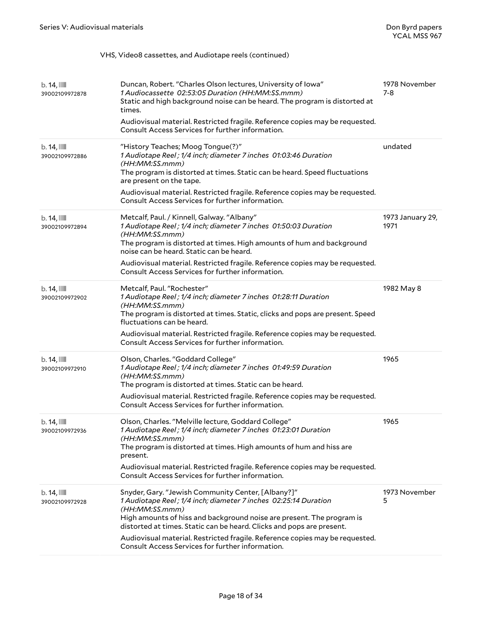#### VHS, Video8 cassettes, and Audiotape reels (continued)

| $b.14$ , $\blacksquare$<br>39002109972878 | Duncan, Robert. "Charles Olson lectures, University of Iowa"<br>1 Audiocassette 02:53:05 Duration (HH:MM:SS.mmm)<br>Static and high background noise can be heard. The program is distorted at<br>times.<br>Audiovisual material. Restricted fragile. Reference copies may be requested.<br>Consult Access Services for further information.                                                                                  | 1978 November<br>7-8     |
|-------------------------------------------|-------------------------------------------------------------------------------------------------------------------------------------------------------------------------------------------------------------------------------------------------------------------------------------------------------------------------------------------------------------------------------------------------------------------------------|--------------------------|
| b.14,<br>39002109972886                   | "History Teaches; Moog Tongue(?)"<br>1 Audiotape Reel; 1/4 inch; diameter 7 inches 01:03:46 Duration<br>(HH:MM:SS.mmm)<br>The program is distorted at times. Static can be heard. Speed fluctuations<br>are present on the tape.<br>Audiovisual material. Restricted fragile. Reference copies may be requested.<br>Consult Access Services for further information.                                                          | undated                  |
| b.14,<br>39002109972894                   | Metcalf, Paul. / Kinnell, Galway. "Albany"<br>1 Audiotape Reel; 1/4 inch; diameter 7 inches 01:50:03 Duration<br>(HH:MM:SS.mmm)<br>The program is distorted at times. High amounts of hum and background<br>noise can be heard. Static can be heard.<br>Audiovisual material. Restricted fragile. Reference copies may be requested.<br>Consult Access Services for further information.                                      | 1973 January 29,<br>1971 |
| $b.14$ , $\mathbb{I}$<br>39002109972902   | Metcalf, Paul. "Rochester"<br>1 Audiotape Reel; 1/4 inch; diameter 7 inches 01:28:11 Duration<br>(HH:MM:SS.mmm)<br>The program is distorted at times. Static, clicks and pops are present. Speed<br>fluctuations can be heard.<br>Audiovisual material. Restricted fragile. Reference copies may be requested.<br>Consult Access Services for further information.                                                            | 1982 May 8               |
| $b.14$ , $\blacksquare$<br>39002109972910 | Olson, Charles. "Goddard College"<br>1 Audiotape Reel; 1/4 inch; diameter 7 inches 01:49:59 Duration<br>(HH:MM:SS.mmm)<br>The program is distorted at times. Static can be heard.<br>Audiovisual material. Restricted fragile. Reference copies may be requested.<br>Consult Access Services for further information.                                                                                                         | 1965                     |
| $b.14$ , $\blacksquare$<br>39002109972936 | Olson, Charles. "Melville lecture, Goddard College"<br>1 Audiotape Reel; 1/4 inch; diameter 7 inches 01:23:01 Duration<br>(HH:MM:SS.mmm)<br>The program is distorted at times. High amounts of hum and hiss are<br>present.<br>Audiovisual material. Restricted fragile. Reference copies may be requested.<br>Consult Access Services for further information.                                                               | 1965                     |
| $b.14$ , $\mathbb{I}$<br>39002109972928   | Snyder, Gary. "Jewish Community Center, [Albany?]"<br>1 Audiotape Reel; 1/4 inch; diameter 7 inches 02:25:14 Duration<br>(HH:MM:SS.mmm)<br>High amounts of hiss and background noise are present. The program is<br>distorted at times. Static can be heard. Clicks and pops are present.<br>Audiovisual material. Restricted fragile. Reference copies may be requested.<br>Consult Access Services for further information. | 1973 November<br>5       |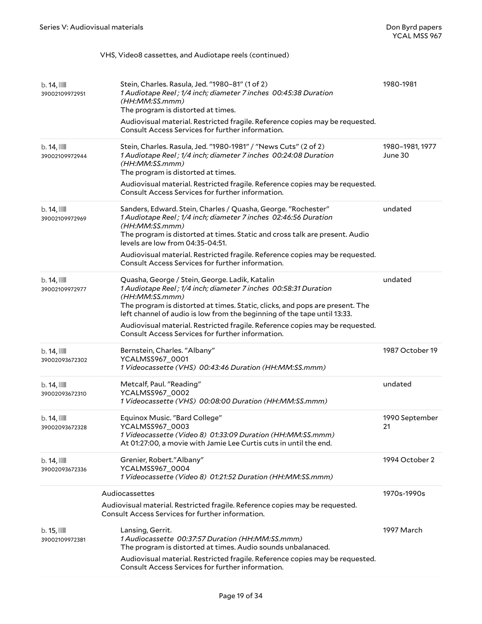#### VHS, Video8 cassettes, and Audiotape reels (continued)

<span id="page-18-0"></span>

| b.14,<br>39002109972951                   | Stein, Charles. Rasula, Jed. "1980-81" (1 of 2)<br>1 Audiotape Reel; 1/4 inch; diameter 7 inches 00:45:38 Duration<br>(HH:MM:SS.mmm)<br>The program is distorted at times.<br>Audiovisual material. Restricted fragile. Reference copies may be requested.<br>Consult Access Services for further information.                                                                                                                      | 1980-1981                  |
|-------------------------------------------|-------------------------------------------------------------------------------------------------------------------------------------------------------------------------------------------------------------------------------------------------------------------------------------------------------------------------------------------------------------------------------------------------------------------------------------|----------------------------|
| b.14,<br>39002109972944                   | Stein, Charles. Rasula, Jed. "1980-1981" / "News Cuts" (2 of 2)<br>1 Audiotape Reel; 1/4 inch; diameter 7 inches 00:24:08 Duration<br>(HH:MM:SS.mmm)<br>The program is distorted at times.<br>Audiovisual material. Restricted fragile. Reference copies may be requested.<br>Consult Access Services for further information.                                                                                                      | 1980-1981, 1977<br>June 30 |
| b.14,<br>39002109972969                   | Sanders, Edward. Stein, Charles / Quasha, George. "Rochester"<br>1 Audiotape Reel; 1/4 inch; diameter 7 inches 02:46:56 Duration<br>(HH:MM:SS.mmm)<br>The program is distorted at times. Static and cross talk are present. Audio<br>levels are low from 04:35-04:51.<br>Audiovisual material. Restricted fragile. Reference copies may be requested.<br>Consult Access Services for further information.                           | undated                    |
| b.14,<br>39002109972977                   | Quasha, George / Stein, George. Ladik, Katalin<br>1 Audiotape Reel; 1/4 inch; diameter 7 inches 00:58:31 Duration<br>(HH:MM:SS.mmm)<br>The program is distorted at times. Static, clicks, and pops are present. The<br>left channel of audio is low from the beginning of the tape until 13:33.<br>Audiovisual material. Restricted fragile. Reference copies may be requested.<br>Consult Access Services for further information. | undated                    |
| $b.14$ , $\blacksquare$<br>39002093672302 | Bernstein, Charles. "Albany"<br>YCALMSS967_0001<br>1 Videocassette (VHS) 00:43:46 Duration (HH:MM:SS.mmm)                                                                                                                                                                                                                                                                                                                           | 1987 October 19            |
| b.14,<br>39002093672310                   | Metcalf, Paul. "Reading"<br>YCALMSS967_0002<br>1 Videocassette (VHS) 00:08:00 Duration (HH:MM:SS.mmm)                                                                                                                                                                                                                                                                                                                               | undated                    |
| $b.14$ , $\blacksquare$<br>39002093672328 | Equinox Music. "Bard College"<br>YCALMSS967_0003<br>1 Videocassette (Video 8) 01:33:09 Duration (HH:MM:SS.mmm)<br>At 01:27:00, a movie with Jamie Lee Curtis cuts in until the end.                                                                                                                                                                                                                                                 | 1990 September<br>21       |
| $b.14$ , $\blacksquare$<br>39002093672336 | Grenier, Robert."Albany"<br>YCALMSS967_0004<br>1 Videocassette (Video 8) 01:21:52 Duration (HH:MM:SS.mmm)                                                                                                                                                                                                                                                                                                                           | 1994 October 2             |
|                                           | Audiocassettes<br>Audiovisual material. Restricted fragile. Reference copies may be requested.<br>Consult Access Services for further information.                                                                                                                                                                                                                                                                                  | 1970s-1990s                |
| b. 15,<br>39002109972381                  | Lansing, Gerrit.<br>1 Audiocassette 00:37:57 Duration (HH:MM:SS.mmm)<br>The program is distorted at times. Audio sounds unbalanaced.<br>Audiovisual material. Restricted fragile. Reference copies may be requested.<br>Consult Access Services for further information.                                                                                                                                                            | 1997 March                 |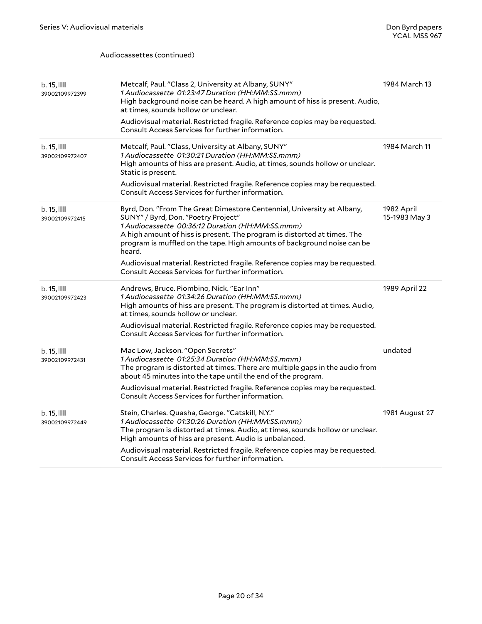| b.15,<br>39002109972399                 | Metcalf, Paul. "Class 2, University at Albany, SUNY"<br>1 Audiocassette 01:23:47 Duration (HH:MM:SS.mmm)<br>High background noise can be heard. A high amount of hiss is present. Audio,<br>at times, sounds hollow or unclear.<br>Audiovisual material. Restricted fragile. Reference copies may be requested.<br>Consult Access Services for further information.                                                                                                    | 1984 March 13               |
|-----------------------------------------|------------------------------------------------------------------------------------------------------------------------------------------------------------------------------------------------------------------------------------------------------------------------------------------------------------------------------------------------------------------------------------------------------------------------------------------------------------------------|-----------------------------|
| $b.15$ , $\mathbb{I}$<br>39002109972407 | Metcalf, Paul. "Class, University at Albany, SUNY"<br>1 Audiocassette 01:30:21 Duration (HH:MM:SS.mmm)<br>High amounts of hiss are present. Audio, at times, sounds hollow or unclear.<br>Static is present.<br>Audiovisual material. Restricted fragile. Reference copies may be requested.<br>Consult Access Services for further information.                                                                                                                       | 1984 March 11               |
| $b.15$ , $\mathbb{I}$<br>39002109972415 | Byrd, Don. "From The Great Dimestore Centennial, University at Albany,<br>SUNY" / Byrd, Don. "Poetry Project"<br>1 Audiocassette 00:36:12 Duration (HH:MM:SS.mmm)<br>A high amount of hiss is present. The program is distorted at times. The<br>program is muffled on the tape. High amounts of background noise can be<br>heard.<br>Audiovisual material. Restricted fragile. Reference copies may be requested.<br>Consult Access Services for further information. | 1982 April<br>15-1983 May 3 |
| $b.15$ , $\mathbb{I}$<br>39002109972423 | Andrews, Bruce. Piombino, Nick. "Ear Inn"<br>1 Audiocassette 01:34:26 Duration (HH:MM:SS.mmm)<br>High amounts of hiss are present. The program is distorted at times. Audio,<br>at times, sounds hollow or unclear.<br>Audiovisual material. Restricted fragile. Reference copies may be requested.<br>Consult Access Services for further information.                                                                                                                | 1989 April 22               |
| b.15,<br>39002109972431                 | Mac Low, Jackson. "Open Secrets"<br>1 Audiocassette 01:25:34 Duration (HH:MM:SS.mmm)<br>The program is distorted at times. There are multiple gaps in the audio from<br>about 45 minutes into the tape until the end of the program.<br>Audiovisual material. Restricted fragile. Reference copies may be requested.<br>Consult Access Services for further information.                                                                                               | undated                     |
| b.15,<br>39002109972449                 | Stein, Charles. Quasha, George. "Catskill, N.Y."<br>1 Audiocassette 01:30:26 Duration (HH:MM:SS.mmm)<br>The program is distorted at times. Audio, at times, sounds hollow or unclear.<br>High amounts of hiss are present. Audio is unbalanced.<br>Audiovisual material. Restricted fragile. Reference copies may be requested.<br>Consult Access Services for further information.                                                                                    | 1981 August 27              |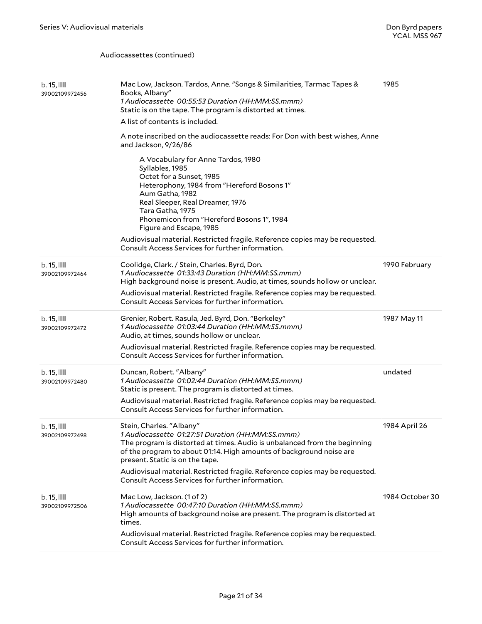| b. 15,<br>39002109972456         | Mac Low, Jackson. Tardos, Anne. "Songs & Similarities, Tarmac Tapes &<br>Books, Albany"<br>1 Audiocassette 00:55:53 Duration (HH:MM:SS.mmm)<br>Static is on the tape. The program is distorted at times.<br>A list of contents is included.<br>A note inscribed on the audiocassette reads: For Don with best wishes, Anne<br>and Jackson, 9/26/86<br>A Vocabulary for Anne Tardos, 1980<br>Syllables, 1985<br>Octet for a Sunset, 1985<br>Heterophony, 1984 from "Hereford Bosons 1"<br>Aum Gatha, 1982<br>Real Sleeper, Real Dreamer, 1976<br>Tara Gatha, 1975<br>Phonemicon from "Hereford Bosons 1", 1984<br>Figure and Escape, 1985<br>Audiovisual material. Restricted fragile. Reference copies may be requested.<br>Consult Access Services for further information. | 1985            |
|----------------------------------|------------------------------------------------------------------------------------------------------------------------------------------------------------------------------------------------------------------------------------------------------------------------------------------------------------------------------------------------------------------------------------------------------------------------------------------------------------------------------------------------------------------------------------------------------------------------------------------------------------------------------------------------------------------------------------------------------------------------------------------------------------------------------|-----------------|
| $b.15$ , $III$<br>39002109972464 | Coolidge, Clark. / Stein, Charles. Byrd, Don.<br>1 Audiocassette 01:33:43 Duration (HH:MM:SS.mmm)<br>High background noise is present. Audio, at times, sounds hollow or unclear.<br>Audiovisual material. Restricted fragile. Reference copies may be requested.<br>Consult Access Services for further information.                                                                                                                                                                                                                                                                                                                                                                                                                                                        | 1990 February   |
| b. 15,<br>39002109972472         | Grenier, Robert. Rasula, Jed. Byrd, Don. "Berkeley"<br>1 Audiocassette 01:03:44 Duration (HH:MM:SS.mmm)<br>Audio, at times, sounds hollow or unclear.<br>Audiovisual material. Restricted fragile. Reference copies may be requested.<br>Consult Access Services for further information.                                                                                                                                                                                                                                                                                                                                                                                                                                                                                    | 1987 May 11     |
| $b.15$ , $III$<br>39002109972480 | Duncan, Robert. "Albany"<br>1 Audiocassette 01:02:44 Duration (HH:MM:SS.mmm)<br>Static is present. The program is distorted at times.<br>Audiovisual material. Restricted fragile. Reference copies may be requested.<br>Consult Access Services for further information.                                                                                                                                                                                                                                                                                                                                                                                                                                                                                                    | undated         |
| b. 15,<br>39002109972498         | Stein, Charles. "Albany"<br>1 Audiocassette 01:27:51 Duration (HH:MM:SS.mmm)<br>The program is distorted at times. Audio is unbalanced from the beginning<br>of the program to about 01:14. High amounts of background noise are<br>present. Static is on the tape.<br>Audiovisual material. Restricted fragile. Reference copies may be requested.<br>Consult Access Services for further information.                                                                                                                                                                                                                                                                                                                                                                      | 1984 April 26   |
| b.15,<br>39002109972506          | Mac Low, Jackson. (1 of 2)<br>1 Audiocassette 00:47:10 Duration (HH:MM:SS.mmm)<br>High amounts of background noise are present. The program is distorted at<br>times.<br>Audiovisual material. Restricted fragile. Reference copies may be requested.<br>Consult Access Services for further information.                                                                                                                                                                                                                                                                                                                                                                                                                                                                    | 1984 October 30 |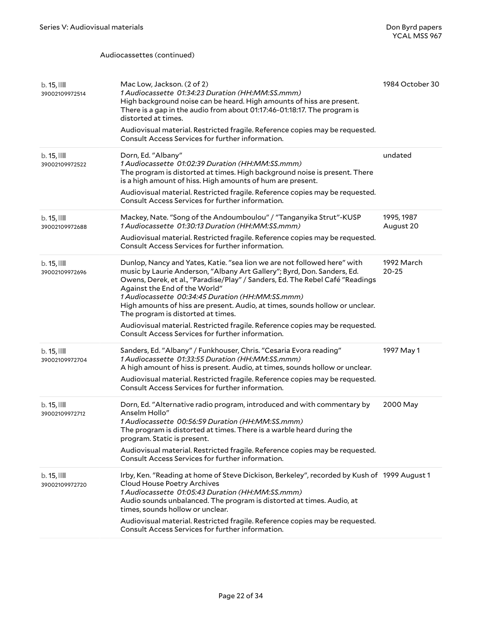| b.15,<br>39002109972514          | Mac Low, Jackson. (2 of 2)<br>1 Audiocassette 01:34:23 Duration (HH:MM:SS.mmm)<br>High background noise can be heard. High amounts of hiss are present.<br>There is a gap in the audio from about 01:17:46-01:18:17. The program is<br>distorted at times.<br>Audiovisual material. Restricted fragile. Reference copies may be requested.<br>Consult Access Services for further information.                                                                                                                                                                                      | 1984 October 30         |
|----------------------------------|-------------------------------------------------------------------------------------------------------------------------------------------------------------------------------------------------------------------------------------------------------------------------------------------------------------------------------------------------------------------------------------------------------------------------------------------------------------------------------------------------------------------------------------------------------------------------------------|-------------------------|
| b. 15,<br>39002109972522         | Dorn, Ed. "Albany"<br>1 Audiocassette 01:02:39 Duration (HH:MM:SS.mmm)<br>The program is distorted at times. High background noise is present. There<br>is a high amount of hiss. High amounts of hum are present.<br>Audiovisual material. Restricted fragile. Reference copies may be requested.<br>Consult Access Services for further information.                                                                                                                                                                                                                              | undated                 |
| $b.15$ , $III$<br>39002109972688 | Mackey, Nate. "Song of the Andoumboulou" / "Tanganyika Strut"-KUSP<br>1 Audiocassette 01:30:13 Duration (HH:MM:SS.mmm)<br>Audiovisual material. Restricted fragile. Reference copies may be requested.<br>Consult Access Services for further information.                                                                                                                                                                                                                                                                                                                          | 1995, 1987<br>August 20 |
| b.15,<br>39002109972696          | Dunlop, Nancy and Yates, Katie. "sea lion we are not followed here" with<br>music by Laurie Anderson, "Albany Art Gallery"; Byrd, Don. Sanders, Ed.<br>Owens, Derek, et al., "Paradise/Play" / Sanders, Ed. The Rebel Café "Readings<br>Against the End of the World"<br>1 Audiocassette 00:34:45 Duration (HH:MM:SS.mmm)<br>High amounts of hiss are present. Audio, at times, sounds hollow or unclear.<br>The program is distorted at times.<br>Audiovisual material. Restricted fragile. Reference copies may be requested.<br>Consult Access Services for further information. | 1992 March<br>$20 - 25$ |
| $b.15$ , $III$<br>39002109972704 | Sanders, Ed. "Albany" / Funkhouser, Chris. "Cesaria Evora reading"<br>1 Audiocassette 01:33:55 Duration (HH:MM:SS.mmm)<br>A high amount of hiss is present. Audio, at times, sounds hollow or unclear.<br>Audiovisual material. Restricted fragile. Reference copies may be requested.<br>Consult Access Services for further information.                                                                                                                                                                                                                                          | 1997 May 1              |
| b.15,<br>39002109972712          | Dorn, Ed. "Alternative radio program, introduced and with commentary by<br>Anselm Hollo"<br>1 Audiocassette 00:56:59 Duration (HH:MM:SS.mmm)<br>The program is distorted at times. There is a warble heard during the<br>program. Static is present.<br>Audiovisual material. Restricted fragile. Reference copies may be requested.<br>Consult Access Services for further information.                                                                                                                                                                                            | 2000 May                |
| b.15,<br>39002109972720          | Irby, Ken. "Reading at home of Steve Dickison, Berkeley", recorded by Kush of 1999 August 1<br>Cloud House Poetry Archives<br>1 Audiocassette 01:05:43 Duration (HH:MM:SS.mmm)<br>Audio sounds unbalanced. The program is distorted at times. Audio, at<br>times, sounds hollow or unclear.<br>Audiovisual material. Restricted fragile. Reference copies may be requested.<br>Consult Access Services for further information.                                                                                                                                                     |                         |
|                                  |                                                                                                                                                                                                                                                                                                                                                                                                                                                                                                                                                                                     |                         |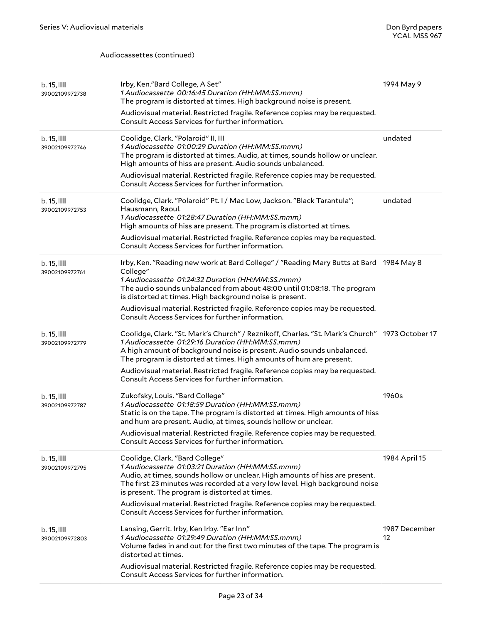| b. 15,<br>39002109972738                | Irby, Ken."Bard College, A Set"<br>1 Audiocassette 00:16:45 Duration (HH:MM:SS.mmm)<br>The program is distorted at times. High background noise is present.                                                                                                                                                                                                                    | 1994 May 9          |
|-----------------------------------------|--------------------------------------------------------------------------------------------------------------------------------------------------------------------------------------------------------------------------------------------------------------------------------------------------------------------------------------------------------------------------------|---------------------|
|                                         | Audiovisual material. Restricted fragile. Reference copies may be requested.<br>Consult Access Services for further information.                                                                                                                                                                                                                                               |                     |
| $b.15$ , $\mathbb{I}$<br>39002109972746 | Coolidge, Clark. "Polaroid" II, III<br>1 Audiocassette 01:00:29 Duration (HH:MM:SS.mmm)<br>The program is distorted at times. Audio, at times, sounds hollow or unclear.<br>High amounts of hiss are present. Audio sounds unbalanced.                                                                                                                                         | undated             |
|                                         | Audiovisual material. Restricted fragile. Reference copies may be requested.<br>Consult Access Services for further information.                                                                                                                                                                                                                                               |                     |
| b. 15,<br>39002109972753                | Coolidge, Clark. "Polaroid" Pt. I / Mac Low, Jackson. "Black Tarantula";<br>Hausmann, Raoul.<br>1 Audiocassette 01:28:47 Duration (HH:MM:SS.mmm)<br>High amounts of hiss are present. The program is distorted at times.                                                                                                                                                       | undated             |
|                                         | Audiovisual material. Restricted fragile. Reference copies may be requested.<br>Consult Access Services for further information.                                                                                                                                                                                                                                               |                     |
| $b.15$ , $\mathbb{I}$<br>39002109972761 | Irby, Ken. "Reading new work at Bard College" / "Reading Mary Butts at Bard 1984 May 8<br>College"<br>1 Audiocassette 01:24:32 Duration (HH:MM:SS.mmm)<br>The audio sounds unbalanced from about 48:00 until 01:08:18. The program<br>is distorted at times. High background noise is present.<br>Audiovisual material. Restricted fragile. Reference copies may be requested. |                     |
|                                         | Consult Access Services for further information.                                                                                                                                                                                                                                                                                                                               |                     |
| b. 15,<br>39002109972779                | Coolidge, Clark. "St. Mark's Church" / Reznikoff, Charles. "St. Mark's Church" 1973 October 17<br>1 Audiocassette 01:29:16 Duration (HH:MM:SS.mmm)<br>A high amount of background noise is present. Audio sounds unbalanced.<br>The program is distorted at times. High amounts of hum are present.                                                                            |                     |
|                                         | Audiovisual material. Restricted fragile. Reference copies may be requested.<br>Consult Access Services for further information.                                                                                                                                                                                                                                               |                     |
| b. 15,<br>39002109972787                | Zukofsky, Louis. "Bard College"<br>1 Audiocassette 01:18:59 Duration (HH:MM:SS.mmm)<br>Static is on the tape. The program is distorted at times. High amounts of hiss<br>and hum are present. Audio, at times, sounds hollow or unclear.                                                                                                                                       | 1960s               |
|                                         | Audiovisual material. Restricted fragile. Reference copies may be requested.<br>Consult Access Services for further information.                                                                                                                                                                                                                                               |                     |
| b. 15,<br>39002109972795                | Coolidge, Clark. "Bard College"<br>1 Audiocassette 01:03:21 Duration (HH:MM:SS.mmm)<br>Audio, at times, sounds hollow or unclear. High amounts of hiss are present.<br>The first 23 minutes was recorded at a very low level. High background noise<br>is present. The program is distorted at times.                                                                          | 1984 April 15       |
|                                         | Audiovisual material. Restricted fragile. Reference copies may be requested.<br>Consult Access Services for further information.                                                                                                                                                                                                                                               |                     |
| b. 15,<br>39002109972803                | Lansing, Gerrit. Irby, Ken Irby. "Ear Inn"<br>1 Audiocassette 01:29:49 Duration (HH:MM:SS.mmm)<br>Volume fades in and out for the first two minutes of the tape. The program is<br>distorted at times.                                                                                                                                                                         | 1987 December<br>12 |
|                                         | Audiovisual material. Restricted fragile. Reference copies may be requested.<br>Consult Access Services for further information.                                                                                                                                                                                                                                               |                     |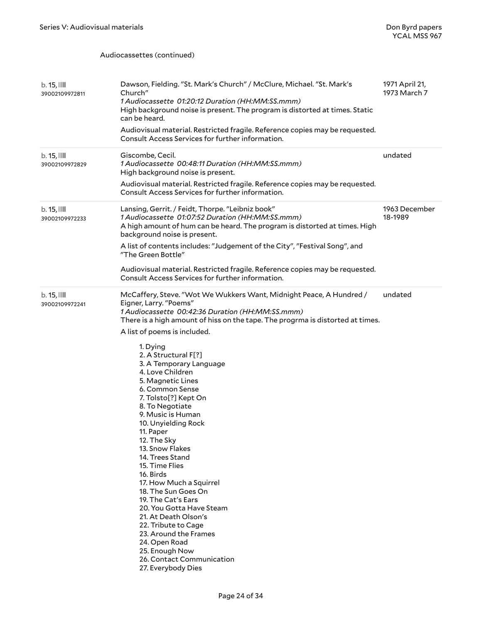| $b.15$ , $\mathbb{I}$<br>39002109972811   | Dawson, Fielding. "St. Mark's Church" / McClure, Michael. "St. Mark's<br>Church"<br>1 Audiocassette 01:20:12 Duration (HH:MM:SS.mmm)<br>High background noise is present. The program is distorted at times. Static<br>can be heard.<br>Audiovisual material. Restricted fragile. Reference copies may be requested.<br>Consult Access Services for further information.                                                                                                                                                                                                                                                                                                                                                                                                                                                                                 | 1971 April 21,<br>1973 March 7 |
|-------------------------------------------|----------------------------------------------------------------------------------------------------------------------------------------------------------------------------------------------------------------------------------------------------------------------------------------------------------------------------------------------------------------------------------------------------------------------------------------------------------------------------------------------------------------------------------------------------------------------------------------------------------------------------------------------------------------------------------------------------------------------------------------------------------------------------------------------------------------------------------------------------------|--------------------------------|
| $b.15$ , $\mathbb{I}$<br>39002109972829   | Giscombe, Cecil.<br>1 Audiocassette 00:48:11 Duration (HH:MM:SS.mmm)<br>High background noise is present.<br>Audiovisual material. Restricted fragile. Reference copies may be requested.<br>Consult Access Services for further information.                                                                                                                                                                                                                                                                                                                                                                                                                                                                                                                                                                                                            | undated                        |
| $b.15$ , $\blacksquare$<br>39002109972233 | Lansing, Gerrit. / Feidt, Thorpe. "Leibniz book"<br>1 Audiocassette 01:07:52 Duration (HH:MM:SS.mmm)<br>A high amount of hum can be heard. The program is distorted at times. High<br>background noise is present.<br>A list of contents includes: "Judgement of the City", "Festival Song", and<br>"The Green Bottle"<br>Audiovisual material. Restricted fragile. Reference copies may be requested.<br>Consult Access Services for further information.                                                                                                                                                                                                                                                                                                                                                                                               | 1963 December<br>18-1989       |
| b.15,<br>39002109972241                   | McCaffery, Steve. "Wot We Wukkers Want, Midnight Peace, A Hundred /<br>Eigner, Larry. "Poems"<br>1 Audiocassette 00:42:36 Duration (HH:MM:SS.mmm)<br>There is a high amount of hiss on the tape. The progrma is distorted at times.<br>A list of poems is included.<br>1. Dying<br>2. A Structural F[?]<br>3. A Temporary Language<br>4. Love Children<br>5. Magnetic Lines<br>6. Common Sense<br>7. Tolsto[?] Kept On<br>8. To Negotiate<br>9. Music is Human<br>10. Unyielding Rock<br>11. Paper<br>12. The Sky<br>13. Snow Flakes<br>14. Trees Stand<br>15. Time Flies<br>16. Birds<br>17. How Much a Squirrel<br>18. The Sun Goes On<br>19. The Cat's Ears<br>20. You Gotta Have Steam<br>21. At Death Olson's<br>22. Tribute to Cage<br>23. Around the Frames<br>24. Open Road<br>25. Enough Now<br>26. Contact Communication<br>27. Everybody Dies | undated                        |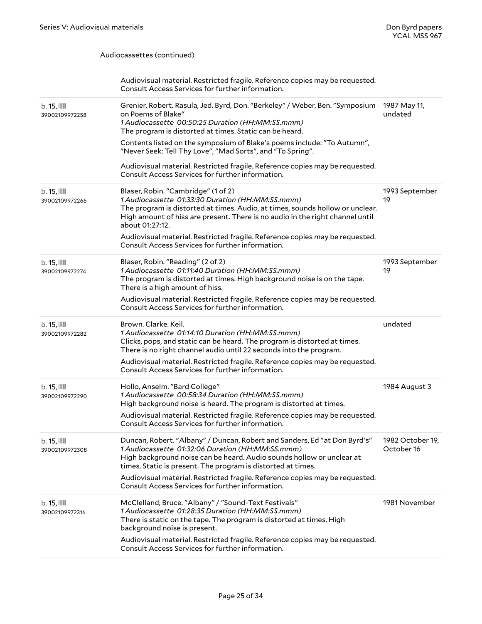|                                         | Audiovisual material. Restricted fragile. Reference copies may be requested.<br>Consult Access Services for further information.                                                                                                                                             |                                |
|-----------------------------------------|------------------------------------------------------------------------------------------------------------------------------------------------------------------------------------------------------------------------------------------------------------------------------|--------------------------------|
| $b.15$ , $\mathbb{I}$<br>39002109972258 | Grenier, Robert. Rasula, Jed. Byrd, Don. "Berkeley" / Weber, Ben. "Symposium<br>on Poems of Blake"<br>1 Audiocassette 00:50:25 Duration (HH:MM:SS.mmm)<br>The program is distorted at times. Static can be heard.                                                            | 1987 May 11,<br>undated        |
|                                         | Contents listed on the symposium of Blake's poems include: "To Autumn",<br>"Never Seek: Tell Thy Love", "Mad Sorts", and "To Spring".                                                                                                                                        |                                |
|                                         | Audiovisual material. Restricted fragile. Reference copies may be requested.<br>Consult Access Services for further information.                                                                                                                                             |                                |
| $b.15$ , $\mathbb{I}$<br>39002109972266 | Blaser, Robin. "Cambridge" (1 of 2)<br>1 Audiocassette 01:33:30 Duration (HH:MM:SS.mmm)<br>The program is distorted at times. Audio, at times, sounds hollow or unclear.<br>High amount of hiss are present. There is no audio in the right channel until<br>about 01:27:12. | 1993 September<br>19           |
|                                         | Audiovisual material. Restricted fragile. Reference copies may be requested.<br>Consult Access Services for further information.                                                                                                                                             |                                |
| $b.15$ , $\mathbb{I}$<br>39002109972274 | Blaser, Robin. "Reading" (2 of 2)<br>1 Audiocassette 01:11:40 Duration (HH:MM:SS.mmm)<br>The program is distorted at times. High background noise is on the tape.<br>There is a high amount of hiss.                                                                         | 1993 September<br>19           |
|                                         | Audiovisual material. Restricted fragile. Reference copies may be requested.<br>Consult Access Services for further information.                                                                                                                                             |                                |
|                                         |                                                                                                                                                                                                                                                                              |                                |
| $b.15$ , $\mathbb{I}$<br>39002109972282 | Brown. Clarke. Keil.<br>1 Audiocassette 01:14:10 Duration (HH:MM:SS.mmm)<br>Clicks, pops, and static can be heard. The program is distorted at times.<br>There is no right channel audio until 22 seconds into the program.                                                  | undated                        |
|                                         | Audiovisual material. Restricted fragile. Reference copies may be requested.<br>Consult Access Services for further information.                                                                                                                                             |                                |
| $b.15$ , $\mathbb{I}$<br>39002109972290 | Hollo, Anselm. "Bard College"<br>1 Audiocassette 00:58:34 Duration (HH:MM:SS.mmm)<br>High background noise is heard. The program is distorted at times.                                                                                                                      | 1984 August 3                  |
|                                         | Audiovisual material. Restricted fragile. Reference copies may be requested.<br>Consult Access Services for further information.                                                                                                                                             |                                |
| b.15,<br>39002109972308                 | Duncan, Robert. "Albany" / Duncan, Robert and Sanders, Ed "at Don Byrd's"<br>1 Audiocassette 01:32:06 Duration (HH:MM:SS.mmm)<br>High background noise can be heard. Audio sounds hollow or unclear at<br>times. Static is present. The program is distorted at times.       | 1982 October 19,<br>October 16 |
|                                         | Audiovisual material. Restricted fragile. Reference copies may be requested.<br>Consult Access Services for further information.                                                                                                                                             |                                |
| b.15,<br>39002109972316                 | McClelland, Bruce. "Albany" / "Sound-Text Festivals"<br>1 Audiocassette 01:28:35 Duration (HH:MM:SS.mmm)<br>There is static on the tape. The program is distorted at times. High<br>background noise is present.                                                             | 1981 November                  |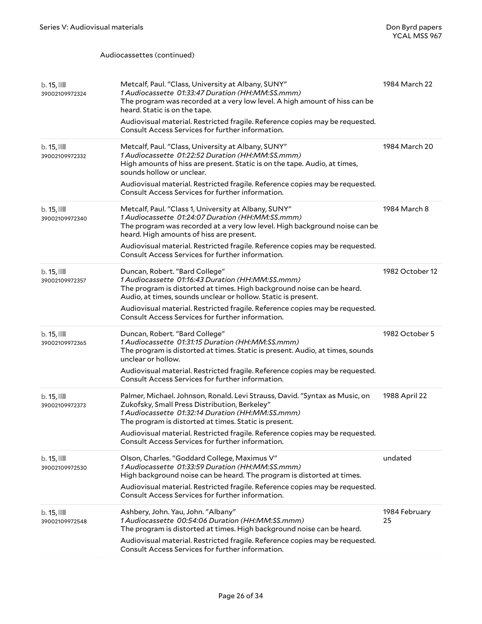| b.15,<br>39002109972324          | Metcalf, Paul. "Class, University at Albany, SUNY"<br>1 Audiocassette 01:33:47 Duration (HH:MM:SS.mmm)<br>The program was recorded at a very low level. A high amount of hiss can be<br>heard. Static is on the tape.<br>Audiovisual material. Restricted fragile. Reference copies may be requested.<br>Consult Access Services for further information.                     | 1984 March 22   |
|----------------------------------|-------------------------------------------------------------------------------------------------------------------------------------------------------------------------------------------------------------------------------------------------------------------------------------------------------------------------------------------------------------------------------|-----------------|
| $b.15$ , $III$<br>39002109972332 | Metcalf, Paul. "Class, University at Albany, SUNY"<br>1 Audiocassette 01:22:52 Duration (HH:MM:SS.mmm)<br>High amounts of hiss are present. Static is on the tape. Audio, at times,<br>sounds hollow or unclear.<br>Audiovisual material. Restricted fragile. Reference copies may be requested.<br>Consult Access Services for further information.                          | 1984 March 20   |
| b.15,<br>39002109972340          | Metcalf, Paul. "Class 1, University at Albany, SUNY"<br>1 Audiocassette 01:24:07 Duration (HH:MM:SS.mmm)<br>The program was recorded at a very low level. High background noise can be<br>heard. High amounts of hiss are present.<br>Audiovisual material. Restricted fragile. Reference copies may be requested.<br>Consult Access Services for further information.        | 1984 March 8    |
| $b.15$ , $III$<br>39002109972357 | Duncan, Robert. "Bard College"<br>1 Audiocassette 01:16:43 Duration (HH:MM:SS.mmm)<br>The program is distorted at times. High background noise can be heard.<br>Audio, at times, sounds unclear or hollow. Static is present.<br>Audiovisual material. Restricted fragile. Reference copies may be requested.<br>Consult Access Services for further information.             | 1982 October 12 |
|                                  |                                                                                                                                                                                                                                                                                                                                                                               |                 |
| b.15,<br>39002109972365          | Duncan, Robert. "Bard College"<br>1 Audiocassette 01:31:15 Duration (HH:MM:SS.mmm)<br>The program is distorted at times. Static is present. Audio, at times, sounds<br>unclear or hollow.<br>Audiovisual material. Restricted fragile. Reference copies may be requested.<br>Consult Access Services for further information.                                                 | 1982 October 5  |
| b. 15,<br>39002109972373         | Palmer, Michael. Johnson, Ronald. Levi Strauss, David. "Syntax as Music, on<br>Zukofsky, Small Press Distribution, Berkeley"<br>1 Audiocassette 01:32:14 Duration (HH:MM:SS.mmm)<br>The program is distorted at times. Static is present.<br>Audiovisual material. Restricted fragile. Reference copies may be requested.<br>Consult Access Services for further information. | 1988 April 22   |
| b.15,<br>39002109972530          | Olson, Charles. "Goddard College, Maximus V"<br>1 Audiocassette 01:33:59 Duration (HH:MM:SS.mmm)<br>High background noise can be heard. The program is distorted at times.<br>Audiovisual material. Restricted fragile. Reference copies may be requested.<br>Consult Access Services for further information.                                                                | undated         |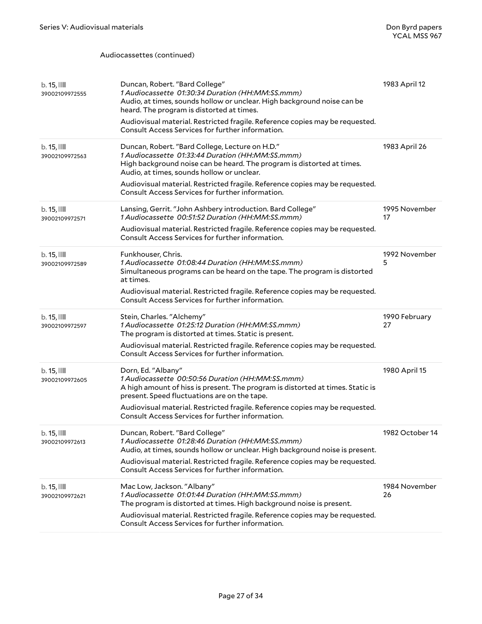| b.15,<br>39002109972555  | Duncan, Robert. "Bard College"<br>1 Audiocassette 01:30:34 Duration (HH:MM:SS.mmm)<br>Audio, at times, sounds hollow or unclear. High background noise can be<br>heard. The program is distorted at times.<br>Audiovisual material. Restricted fragile. Reference copies may be requested.<br>Consult Access Services for further information.                  | 1983 April 12       |
|--------------------------|-----------------------------------------------------------------------------------------------------------------------------------------------------------------------------------------------------------------------------------------------------------------------------------------------------------------------------------------------------------------|---------------------|
| b.15,<br>39002109972563  | Duncan, Robert. "Bard College, Lecture on H.D."<br>1 Audiocassette 01:33:44 Duration (HH:MM:SS.mmm)<br>High background noise can be heard. The program is distorted at times.<br>Audio, at times, sounds hollow or unclear.<br>Audiovisual material. Restricted fragile. Reference copies may be requested.<br>Consult Access Services for further information. | 1983 April 26       |
| b.15,<br>39002109972571  | Lansing, Gerrit. "John Ashbery introduction. Bard College"<br>1 Audiocassette 00:51:52 Duration (HH:MM:SS.mmm)<br>Audiovisual material. Restricted fragile. Reference copies may be requested.<br>Consult Access Services for further information.                                                                                                              | 1995 November<br>17 |
| b.15,<br>39002109972589  | Funkhouser, Chris.<br>1 Audiocassette 01:08:44 Duration (HH:MM:SS.mmm)<br>Simultaneous programs can be heard on the tape. The program is distorted<br>at times.<br>Audiovisual material. Restricted fragile. Reference copies may be requested.<br>Consult Access Services for further information.                                                             | 1992 November<br>5  |
| b.15,                    | Stein, Charles. "Alchemy"                                                                                                                                                                                                                                                                                                                                       | 1990 February       |
| 39002109972597           | 1 Audiocassette 01:25:12 Duration (HH:MM:SS.mmm)<br>The program is distorted at times. Static is present.<br>Audiovisual material. Restricted fragile. Reference copies may be requested.<br>Consult Access Services for further information.                                                                                                                   | 27                  |
| b.15,<br>39002109972605  | Dorn, Ed. "Albany"<br>1 Audiocassette 00:50:56 Duration (HH:MM:SS.mmm)<br>A high amount of hiss is present. The program is distorted at times. Static is<br>present. Speed fluctuations are on the tape.<br>Audiovisual material. Restricted fragile. Reference copies may be requested.<br>Consult Access Services for further information.                    | 1980 April 15       |
| b. 15,<br>39002109972613 | Duncan, Robert. "Bard College"<br>1 Audiocassette 01:28:46 Duration (HH:MM:SS.mmm)<br>Audio, at times, sounds hollow or unclear. High background noise is present.<br>Audiovisual material. Restricted fragile. Reference copies may be requested.<br>Consult Access Services for further information.                                                          | 1982 October 14     |
| b.15,<br>39002109972621  | Mac Low, Jackson. "Albany"<br>1 Audiocassette 01:01:44 Duration (HH:MM:SS.mmm)<br>The program is distorted at times. High background noise is present.<br>Audiovisual material. Restricted fragile. Reference copies may be requested.<br>Consult Access Services for further information.                                                                      | 1984 November<br>26 |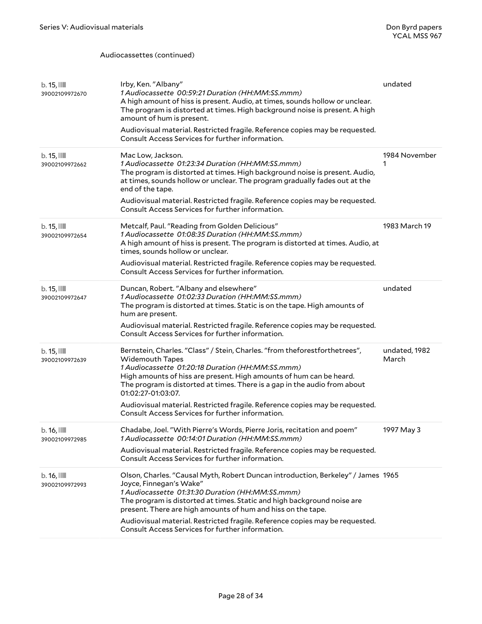| b. 15,<br>39002109972670                | Irby, Ken. "Albany"<br>1 Audiocassette 00:59:21 Duration (HH:MM:SS.mmm)<br>A high amount of hiss is present. Audio, at times, sounds hollow or unclear.<br>The program is distorted at times. High background noise is present. A high<br>amount of hum is present.<br>Audiovisual material. Restricted fragile. Reference copies may be requested.<br>Consult Access Services for further information.                                                                | undated                |
|-----------------------------------------|------------------------------------------------------------------------------------------------------------------------------------------------------------------------------------------------------------------------------------------------------------------------------------------------------------------------------------------------------------------------------------------------------------------------------------------------------------------------|------------------------|
| b. 15,<br>39002109972662                | Mac Low, Jackson.<br>1 Audiocassette 01:23:34 Duration (HH:MM:SS.mmm)<br>The program is distorted at times. High background noise is present. Audio,<br>at times, sounds hollow or unclear. The program gradually fades out at the<br>end of the tape.<br>Audiovisual material. Restricted fragile. Reference copies may be requested.<br>Consult Access Services for further information.                                                                             | 1984 November<br>1     |
| b. 15,<br>39002109972654                | Metcalf, Paul. "Reading from Golden Delicious"<br>1 Audiocassette 01:08:35 Duration (HH:MM:SS.mmm)<br>A high amount of hiss is present. The program is distorted at times. Audio, at<br>times, sounds hollow or unclear.<br>Audiovisual material. Restricted fragile. Reference copies may be requested.<br>Consult Access Services for further information.                                                                                                           | 1983 March 19          |
| $b.15$ , $\mathbb{I}$<br>39002109972647 | Duncan, Robert. "Albany and elsewhere"<br>1 Audiocassette 01:02:33 Duration (HH:MM:SS.mmm)<br>The program is distorted at times. Static is on the tape. High amounts of<br>hum are present.<br>Audiovisual material. Restricted fragile. Reference copies may be requested.<br>Consult Access Services for further information.                                                                                                                                        | undated                |
| b.15,<br>39002109972639                 | Bernstein, Charles. "Class" / Stein, Charles. "from theforestforthetrees",<br><b>Widemouth Tapes</b><br>1 Audiocassette 01:20:18 Duration (HH:MM:SS.mmm)<br>High amounts of hiss are present. High amounts of hum can be heard.<br>The program is distorted at times. There is a gap in the audio from about<br>01:02:27-01:03:07.<br>Audiovisual material. Restricted fragile. Reference copies may be requested.<br>Consult Access Services for further information. | undated, 1982<br>March |
| b. 16,<br>39002109972985                | Chadabe, Joel. "With Pierre's Words, Pierre Joris, recitation and poem"<br>1 Audiocassette 00:14:01 Duration (HH:MM:SS.mmm)<br>Audiovisual material. Restricted fragile. Reference copies may be requested.<br>Consult Access Services for further information.                                                                                                                                                                                                        | 1997 May 3             |
| b. 16,<br>39002109972993                | Olson, Charles. "Causal Myth, Robert Duncan introduction, Berkeley" / James 1965<br>Joyce, Finnegan's Wake"<br>1 Audiocassette 01:31:30 Duration (HH:MM:SS.mmm)<br>The program is distorted at times. Static and high background noise are<br>present. There are high amounts of hum and hiss on the tape.<br>Audiovisual material. Restricted fragile. Reference copies may be requested.<br>Consult Access Services for further information.                         |                        |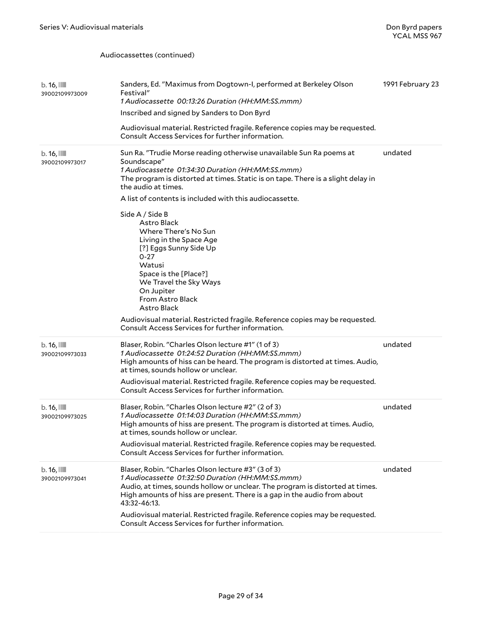| Sanders, Ed. "Maximus from Dogtown-I, performed at Berkeley Olson<br>Festival"<br>1 Audiocassette 00:13:26 Duration (HH:MM:SS.mmm)<br>Inscribed and signed by Sanders to Don Byrd<br>Audiovisual material. Restricted fragile. Reference copies may be requested.<br>Consult Access Services for further information.                                                                                                                                                                                                                                 | 1991 February 23                                                             |
|-------------------------------------------------------------------------------------------------------------------------------------------------------------------------------------------------------------------------------------------------------------------------------------------------------------------------------------------------------------------------------------------------------------------------------------------------------------------------------------------------------------------------------------------------------|------------------------------------------------------------------------------|
| Sun Ra. "Trudie Morse reading otherwise unavailable Sun Ra poems at<br>Soundscape"<br>1 Audiocassette 01:34:30 Duration (HH:MM:SS.mmm)<br>The program is distorted at times. Static is on tape. There is a slight delay in<br>the audio at times.<br>A list of contents is included with this audiocassette.<br>Side A / Side B<br>Astro Black<br>Where There's No Sun<br>Living in the Space Age<br>[?] Eggs Sunny Side Up<br>$0 - 27$<br>Watusi<br>Space is the [Place?]<br>We Travel the Sky Ways<br>On Jupiter<br>From Astro Black<br>Astro Black | undated                                                                      |
| Consult Access Services for further information.                                                                                                                                                                                                                                                                                                                                                                                                                                                                                                      |                                                                              |
| Blaser, Robin. "Charles Olson lecture #1" (1 of 3)<br>1 Audiocassette 01:24:52 Duration (HH:MM:SS.mmm)<br>High amounts of hiss can be heard. The program is distorted at times. Audio,<br>at times, sounds hollow or unclear.<br>Audiovisual material. Restricted fragile. Reference copies may be requested.<br>Consult Access Services for further information.                                                                                                                                                                                     | undated                                                                      |
| Blaser, Robin. "Charles Olson lecture #2" (2 of 3)<br>1 Audiocassette 01:14:03 Duration (HH:MM:SS.mmm)<br>High amounts of hiss are present. The program is distorted at times. Audio,<br>at times, sounds hollow or unclear.<br>Audiovisual material. Restricted fragile. Reference copies may be requested.<br>Consult Access Services for further information.                                                                                                                                                                                      | undated                                                                      |
| Blaser, Robin. "Charles Olson lecture #3" (3 of 3)<br>1 Audiocassette 01:32:50 Duration (HH:MM:SS.mmm)<br>Audio, at times, sounds hollow or unclear. The program is distorted at times.<br>High amounts of hiss are present. There is a gap in the audio from about<br>43:32-46:13.<br>Audiovisual material. Restricted fragile. Reference copies may be requested.<br>Consult Access Services for further information.                                                                                                                               | undated                                                                      |
|                                                                                                                                                                                                                                                                                                                                                                                                                                                                                                                                                       | Audiovisual material. Restricted fragile. Reference copies may be requested. |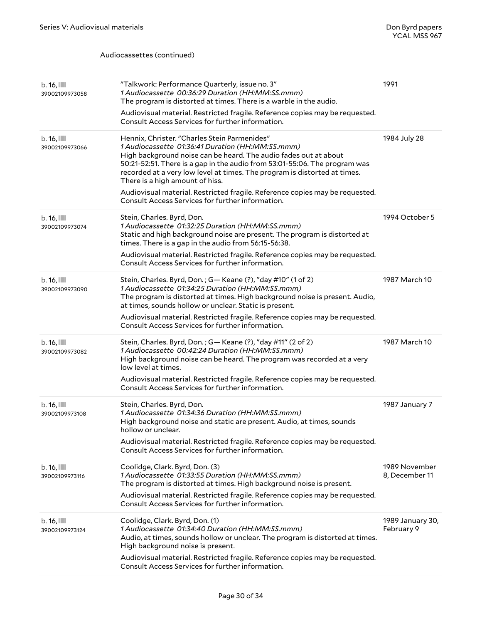| $b.16$ , $\blacksquare$<br>39002109973058 | "Talkwork: Performance Quarterly, issue no. 3"<br>1 Audiocassette 00:36:29 Duration (HH:MM:SS.mmm)<br>The program is distorted at times. There is a warble in the audio.                                                                                                                                                                                                                     | 1991                            |
|-------------------------------------------|----------------------------------------------------------------------------------------------------------------------------------------------------------------------------------------------------------------------------------------------------------------------------------------------------------------------------------------------------------------------------------------------|---------------------------------|
|                                           | Audiovisual material. Restricted fragile. Reference copies may be requested.<br>Consult Access Services for further information.                                                                                                                                                                                                                                                             |                                 |
| b. 16,<br>39002109973066                  | Hennix, Christer. "Charles Stein Parmenides"<br>1 Audiocassette 01:36:41 Duration (HH:MM:SS.mmm)<br>High background noise can be heard. The audio fades out at about<br>50:21-52:51. There is a gap in the audio from 53:01-55:06. The program was<br>recorded at a very low level at times. The program is distorted at times.<br>There is a high amount of hiss.                           | 1984 July 28                    |
|                                           | Audiovisual material. Restricted fragile. Reference copies may be requested.<br>Consult Access Services for further information.                                                                                                                                                                                                                                                             |                                 |
| b. 16,<br>39002109973074                  | Stein, Charles. Byrd, Don.<br>1 Audiocassette 01:32:25 Duration (HH:MM:SS.mmm)<br>Static and high background noise are present. The program is distorted at<br>times. There is a gap in the audio from 56:15-56:38.<br>Audiovisual material. Restricted fragile. Reference copies may be requested.<br>Consult Access Services for further information.                                      | 1994 October 5                  |
| b. 16,<br>39002109973090                  | Stein, Charles. Byrd, Don.; G-Keane (?), "day #10" (1 of 2)<br>1 Audiocassette 01:34:25 Duration (HH:MM:SS.mmm)<br>The program is distorted at times. High background noise is present. Audio,<br>at times, sounds hollow or unclear. Static is present.<br>Audiovisual material. Restricted fragile. Reference copies may be requested.<br>Consult Access Services for further information. | 1987 March 10                   |
| b. 16,<br>39002109973082                  | Stein, Charles. Byrd, Don.; G-Keane (?), "day #11" (2 of 2)<br>1 Audiocassette 00:42:24 Duration (HH:MM:SS.mmm)<br>High background noise can be heard. The program was recorded at a very<br>low level at times.<br>Audiovisual material. Restricted fragile. Reference copies may be requested.<br>Consult Access Services for further information.                                         | 1987 March 10                   |
| b. 16,<br>39002109973108                  | Stein, Charles. Byrd, Don.<br>1 Audiocassette 01:34:36 Duration (HH:MM:SS.mmm)<br>High background noise and static are present. Audio, at times, sounds<br>hollow or unclear.<br>Audiovisual material. Restricted fragile. Reference copies may be requested.<br>Consult Access Services for further information.                                                                            | 1987 January 7                  |
| b. 16,<br>39002109973116                  | Coolidge, Clark. Byrd, Don. (3)<br>1 Audiocassette 01:33:55 Duration (HH:MM:SS.mmm)<br>The program is distorted at times. High background noise is present.<br>Audiovisual material. Restricted fragile. Reference copies may be requested.<br>Consult Access Services for further information.                                                                                              | 1989 November<br>8, December 11 |
| $b.16$ , $III$<br>39002109973124          | Coolidge, Clark. Byrd, Don. (1)<br>1 Audiocassette 01:34:40 Duration (HH:MM:SS.mmm)<br>Audio, at times, sounds hollow or unclear. The program is distorted at times.<br>High background noise is present.<br>Audiovisual material. Restricted fragile. Reference copies may be requested.<br>Consult Access Services for further information.                                                | 1989 January 30,<br>February 9  |
|                                           |                                                                                                                                                                                                                                                                                                                                                                                              |                                 |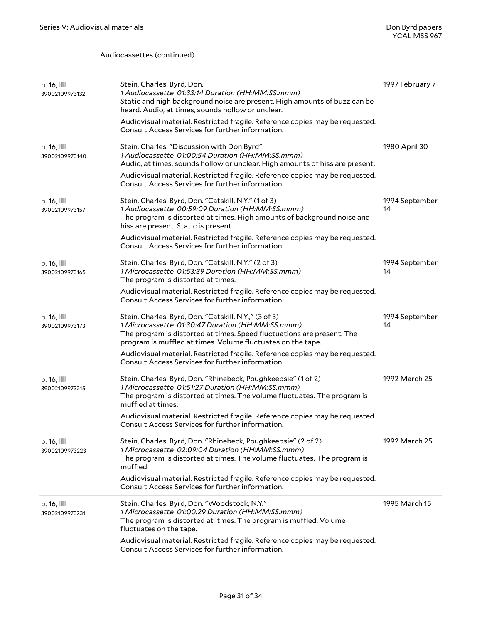| $b.16$ , $\blacksquare$<br>39002109973132 | Stein, Charles. Byrd, Don.<br>1 Audiocassette 01:33:14 Duration (HH:MM:SS.mmm)<br>Static and high background noise are present. High amounts of buzz can be<br>heard. Audio, at times, sounds hollow or unclear.<br>Audiovisual material. Restricted fragile. Reference copies may be requested.<br>Consult Access Services for further information.                                   | 1997 February 7      |
|-------------------------------------------|----------------------------------------------------------------------------------------------------------------------------------------------------------------------------------------------------------------------------------------------------------------------------------------------------------------------------------------------------------------------------------------|----------------------|
| b. 16,<br>39002109973140                  | Stein, Charles. "Discussion with Don Byrd"<br>1 Audiocassette 01:00:54 Duration (HH:MM:SS.mmm)<br>Audio, at times, sounds hollow or unclear. High amounts of hiss are present.<br>Audiovisual material. Restricted fragile. Reference copies may be requested.<br>Consult Access Services for further information.                                                                     | 1980 April 30        |
| b. 16,<br>39002109973157                  | Stein, Charles. Byrd, Don. "Catskill, N.Y." (1 of 3)<br>1 Audiocassette 00:59:09 Duration (HH:MM:SS.mmm)<br>The program is distorted at times. High amounts of background noise and<br>hiss are present. Static is present.<br>Audiovisual material. Restricted fragile. Reference copies may be requested.<br>Consult Access Services for further information.                        | 1994 September<br>14 |
| b. 16,<br>39002109973165                  | Stein, Charles. Byrd, Don. "Catskill, N.Y." (2 of 3)<br>1 Microcassette 01:53:39 Duration (HH:MM:SS.mmm)<br>The program is distorted at times.<br>Audiovisual material. Restricted fragile. Reference copies may be requested.<br>Consult Access Services for further information.                                                                                                     | 1994 September<br>14 |
| b. 16,<br>39002109973173                  | Stein, Charles. Byrd, Don. "Catskill, N.Y.," (3 of 3)<br>1 Microcassette 01:30:47 Duration (HH:MM:SS.mmm)<br>The program is distorted at times. Speed fluctuations are present. The<br>program is muffled at times. Volume fluctuates on the tape.<br>Audiovisual material. Restricted fragile. Reference copies may be requested.<br>Consult Access Services for further information. | 1994 September<br>14 |
| b. 16,<br>39002109973215                  | Stein, Charles. Byrd, Don. "Rhinebeck, Poughkeepsie" (1 of 2)<br>1 Microcassette 01:51:27 Duration (HH:MM:SS.mmm)<br>The program is distorted at times. The volume fluctuates. The program is<br>muffled at times.<br>Audiovisual material. Restricted fragile. Reference copies may be requested.<br>Consult Access Services for further information.                                 | 1992 March 25        |
| b. 16,<br>39002109973223                  | Stein, Charles. Byrd, Don. "Rhinebeck, Poughkeepsie" (2 of 2)<br>1 Microcassette 02:09:04 Duration (HH:MM:SS.mmm)<br>The program is distorted at times. The volume fluctuates. The program is<br>muffled.<br>Audiovisual material. Restricted fragile. Reference copies may be requested.<br>Consult Access Services for further information.                                          | 1992 March 25        |
| b. 16,<br>39002109973231                  | Stein, Charles. Byrd, Don. "Woodstock, N.Y."<br>1 Microcassette 01:00:29 Duration (HH:MM:SS.mmm)<br>The program is distorted at itmes. The program is muffled. Volume<br>fluctuates on the tape.<br>Audiovisual material. Restricted fragile. Reference copies may be requested.<br>Consult Access Services for further information.                                                   | 1995 March 15        |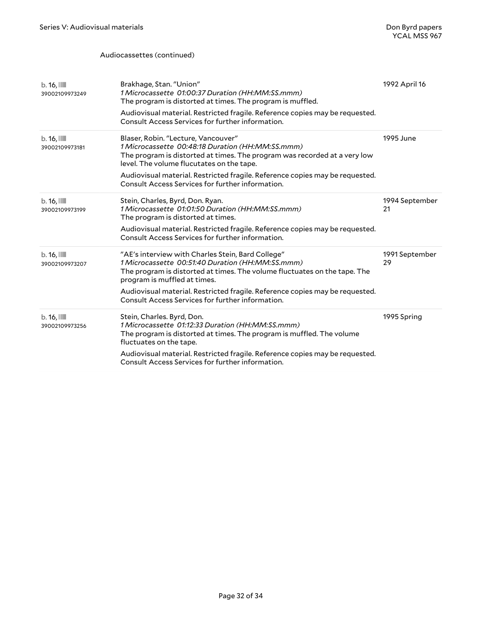| $b.16$ , $\blacksquare$<br>39002109973249 | Brakhage, Stan. "Union"<br>1 Microcassette 01:00:37 Duration (HH:MM:SS.mmm)<br>The program is distorted at times. The program is muffled.<br>Audiovisual material. Restricted fragile. Reference copies may be requested.<br>Consult Access Services for further information.                                                                          | 1992 April 16        |
|-------------------------------------------|--------------------------------------------------------------------------------------------------------------------------------------------------------------------------------------------------------------------------------------------------------------------------------------------------------------------------------------------------------|----------------------|
| $b.16$ , $\blacksquare$<br>39002109973181 | Blaser, Robin. "Lecture, Vancouver"<br>1 Microcassette 00:48:18 Duration (HH:MM:SS.mmm)<br>The program is distorted at times. The program was recorded at a very low<br>level. The volume flucutates on the tape.<br>Audiovisual material. Restricted fragile. Reference copies may be requested.<br>Consult Access Services for further information.  | 1995 June            |
| b. 16,<br>39002109973199                  | Stein, Charles, Byrd, Don. Ryan.<br>1 Microcassette 01:01:50 Duration (HH:MM:SS.mmm)<br>The program is distorted at times.<br>Audiovisual material. Restricted fragile. Reference copies may be requested.<br>Consult Access Services for further information.                                                                                         | 1994 September<br>21 |
| b. 16,<br>39002109973207                  | "AE's interview with Charles Stein, Bard College"<br>1 Microcassette 00:51:40 Duration (HH:MM:SS.mmm)<br>The program is distorted at times. The volume fluctuates on the tape. The<br>program is muffled at times.<br>Audiovisual material. Restricted fragile. Reference copies may be requested.<br>Consult Access Services for further information. | 1991 September<br>29 |
| b. 16,<br>39002109973256                  | Stein, Charles. Byrd, Don.<br>1 Microcassette 01:12:33 Duration (HH:MM:SS.mmm)<br>The program is distorted at times. The program is muffled. The volume<br>fluctuates on the tape.<br>Audiovisual material. Restricted fragile. Reference copies may be requested.<br>Consult Access Services for further information.                                 | 1995 Spring          |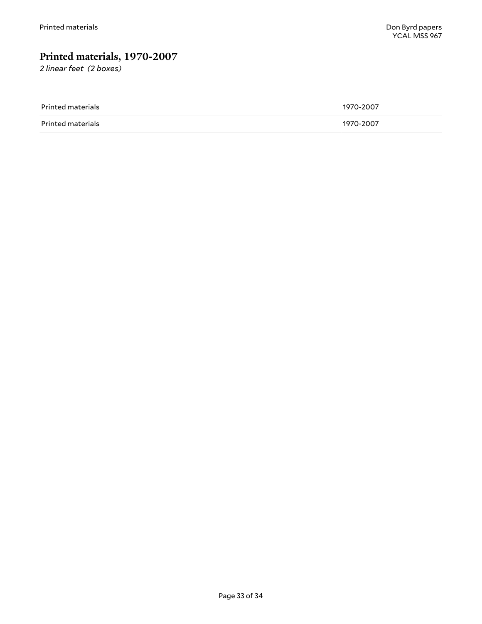## <span id="page-32-0"></span>**Printed materials, 1970-2007**

*2 linear feet (2 boxes)*

| Printed materials        | 1970-2007 |
|--------------------------|-----------|
| <b>Printed materials</b> | 1970-2007 |